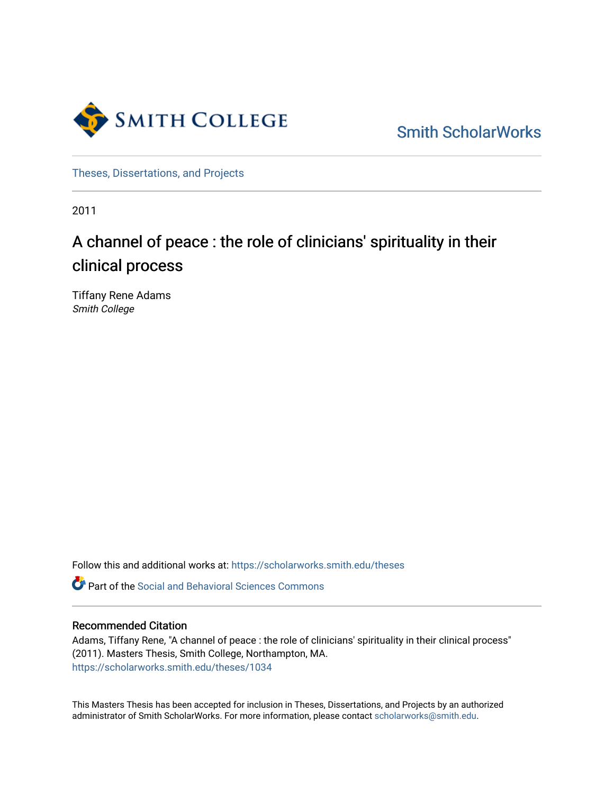

[Smith ScholarWorks](https://scholarworks.smith.edu/) 

[Theses, Dissertations, and Projects](https://scholarworks.smith.edu/theses) 

2011

# A channel of peace : the role of clinicians' spirituality in their clinical process

Tiffany Rene Adams Smith College

Follow this and additional works at: [https://scholarworks.smith.edu/theses](https://scholarworks.smith.edu/theses?utm_source=scholarworks.smith.edu%2Ftheses%2F1034&utm_medium=PDF&utm_campaign=PDFCoverPages) 

**C** Part of the Social and Behavioral Sciences Commons

## Recommended Citation

Adams, Tiffany Rene, "A channel of peace : the role of clinicians' spirituality in their clinical process" (2011). Masters Thesis, Smith College, Northampton, MA. [https://scholarworks.smith.edu/theses/1034](https://scholarworks.smith.edu/theses/1034?utm_source=scholarworks.smith.edu%2Ftheses%2F1034&utm_medium=PDF&utm_campaign=PDFCoverPages)

This Masters Thesis has been accepted for inclusion in Theses, Dissertations, and Projects by an authorized administrator of Smith ScholarWorks. For more information, please contact [scholarworks@smith.edu](mailto:scholarworks@smith.edu).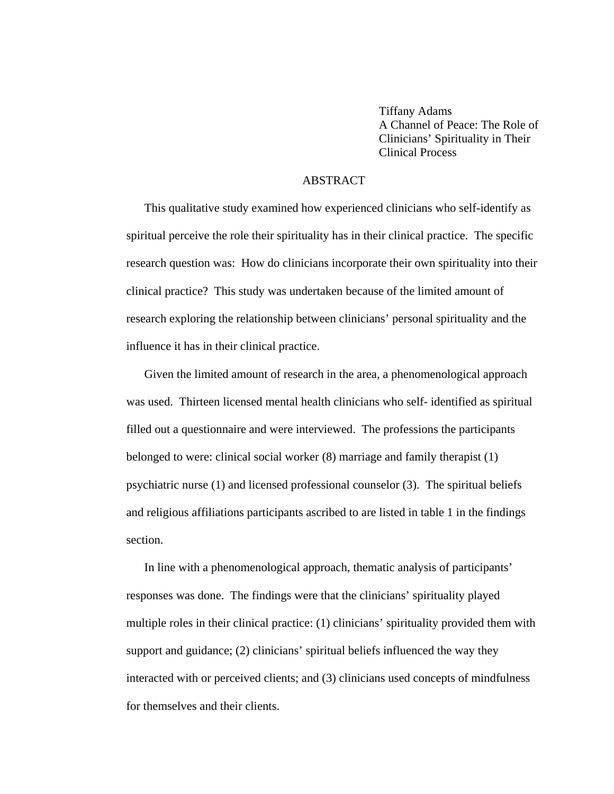Tiffany Adams A Channel of Peace: The Role of Clinicians' Spirituality in Their Clinical Process

#### ABSTRACT

This qualitative study examined how experienced clinicians who self-identify as spiritual perceive the role their spirituality has in their clinical practice. The specific research question was: How do clinicians incorporate their own spirituality into their clinical practice? This study was undertaken because of the limited amount of research exploring the relationship between clinicians' personal spirituality and the influence it has in their clinical practice.

Given the limited amount of research in the area, a phenomenological approach was used. Thirteen licensed mental health clinicians who self- identified as spiritual filled out a questionnaire and were interviewed. The professions the participants belonged to were: clinical social worker (8) marriage and family therapist (1) psychiatric nurse (1) and licensed professional counselor (3). The spiritual beliefs and religious affiliations participants ascribed to are listed in table 1 in the findings section.

In line with a phenomenological approach, thematic analysis of participants' responses was done. The findings were that the clinicians' spirituality played multiple roles in their clinical practice: (1) clinicians' spirituality provided them with support and guidance; (2) clinicians' spiritual beliefs influenced the way they interacted with or perceived clients; and (3) clinicians used concepts of mindfulness for themselves and their clients.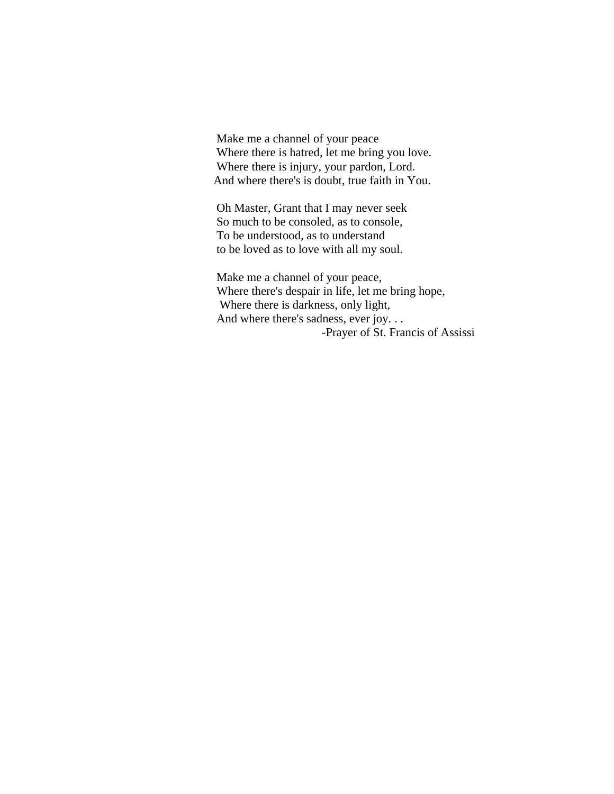Make me a channel of your peace Where there is hatred, let me bring you love. Where there is injury, your pardon, Lord. And where there's is doubt, true faith in You.

Oh Master, Grant that I may never seek So much to be consoled, as to console, To be understood, as to understand to be loved as to love with all my soul.

Make me a channel of your peace, Where there's despair in life, let me bring hope, Where there is darkness, only light, And where there's sadness, ever joy. . . -Prayer of St. Francis of Assissi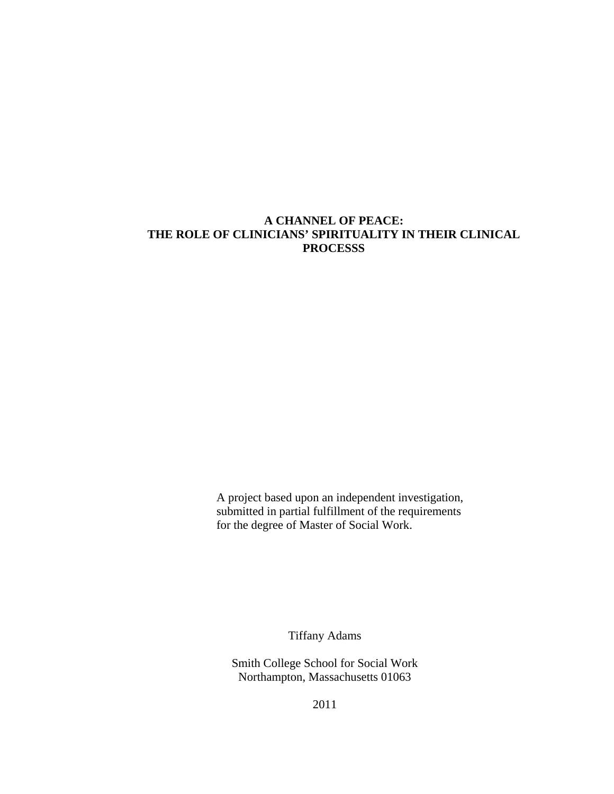## **A CHANNEL OF PEACE: THE ROLE OF CLINICIANS' SPIRITUALITY IN THEIR CLINICAL PROCESSS**

A project based upon an independent investigation, submitted in partial fulfillment of the requirements for the degree of Master of Social Work.

Tiffany Adams

Smith College School for Social Work Northampton, Massachusetts 01063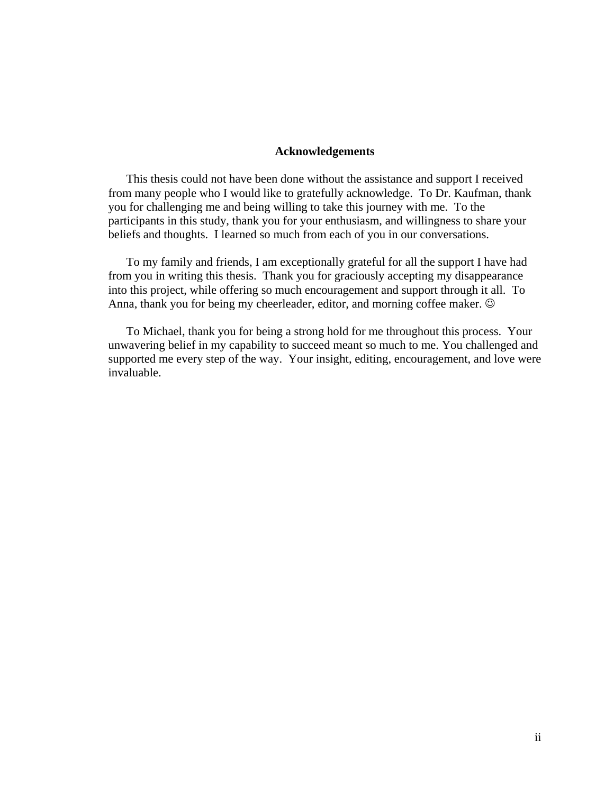## **Acknowledgements**

This thesis could not have been done without the assistance and support I received from many people who I would like to gratefully acknowledge. To Dr. Kaufman, thank you for challenging me and being willing to take this journey with me. To the participants in this study, thank you for your enthusiasm, and willingness to share your beliefs and thoughts. I learned so much from each of you in our conversations.

To my family and friends, I am exceptionally grateful for all the support I have had from you in writing this thesis. Thank you for graciously accepting my disappearance into this project, while offering so much encouragement and support through it all. To Anna, thank you for being my cheerleader, editor, and morning coffee maker.  $\odot$ 

To Michael, thank you for being a strong hold for me throughout this process. Your unwavering belief in my capability to succeed meant so much to me. You challenged and supported me every step of the way. Your insight, editing, encouragement, and love were invaluable.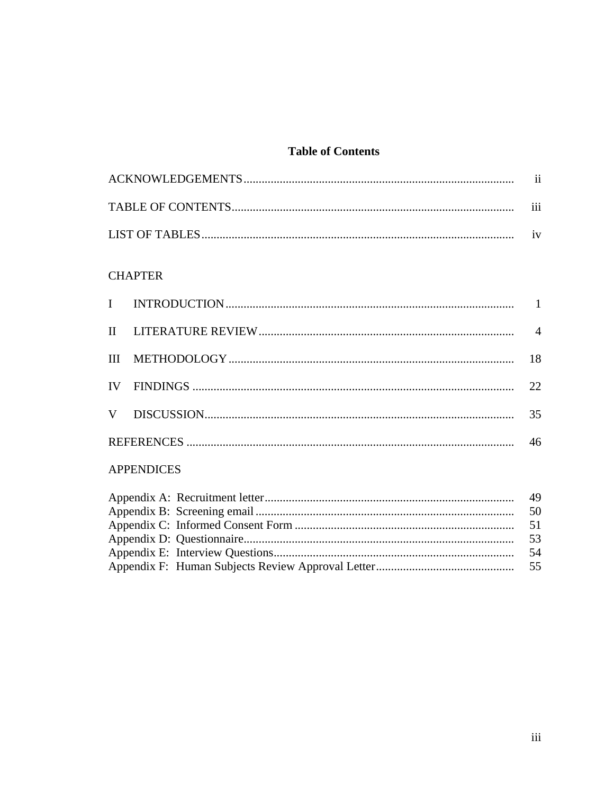## **Table of Contents**

| $\cdots$<br>111 |
|-----------------|
|                 |

## **CHAPTER**

|  |  | 22 |
|--|--|----|
|  |  | 35 |
|  |  |    |

## **APPENDICES**

|  | 49  |
|--|-----|
|  | 50  |
|  |     |
|  | 53  |
|  | -54 |
|  |     |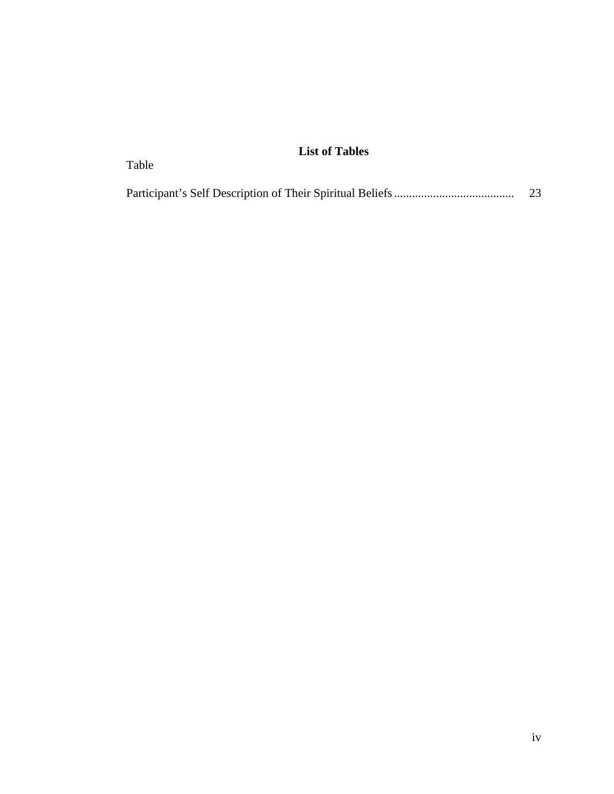## **List of Tables**

Table

|  | 23 |
|--|----|
|  |    |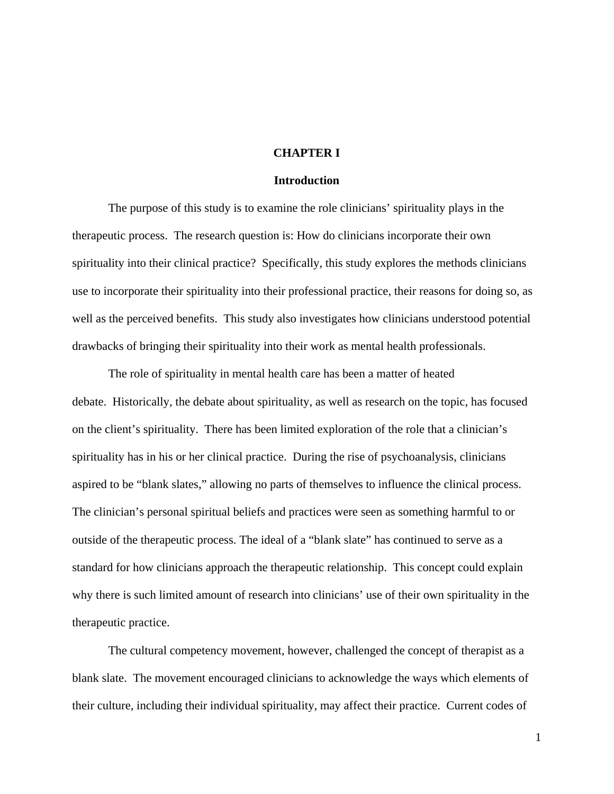## **CHAPTER I**

## **Introduction**

The purpose of this study is to examine the role clinicians' spirituality plays in the therapeutic process. The research question is: How do clinicians incorporate their own spirituality into their clinical practice? Specifically, this study explores the methods clinicians use to incorporate their spirituality into their professional practice, their reasons for doing so, as well as the perceived benefits. This study also investigates how clinicians understood potential drawbacks of bringing their spirituality into their work as mental health professionals.

The role of spirituality in mental health care has been a matter of heated debate. Historically, the debate about spirituality, as well as research on the topic, has focused on the client's spirituality. There has been limited exploration of the role that a clinician's spirituality has in his or her clinical practice. During the rise of psychoanalysis, clinicians aspired to be "blank slates," allowing no parts of themselves to influence the clinical process. The clinician's personal spiritual beliefs and practices were seen as something harmful to or outside of the therapeutic process. The ideal of a "blank slate" has continued to serve as a standard for how clinicians approach the therapeutic relationship. This concept could explain why there is such limited amount of research into clinicians' use of their own spirituality in the therapeutic practice.

The cultural competency movement, however, challenged the concept of therapist as a blank slate. The movement encouraged clinicians to acknowledge the ways which elements of their culture, including their individual spirituality, may affect their practice. Current codes of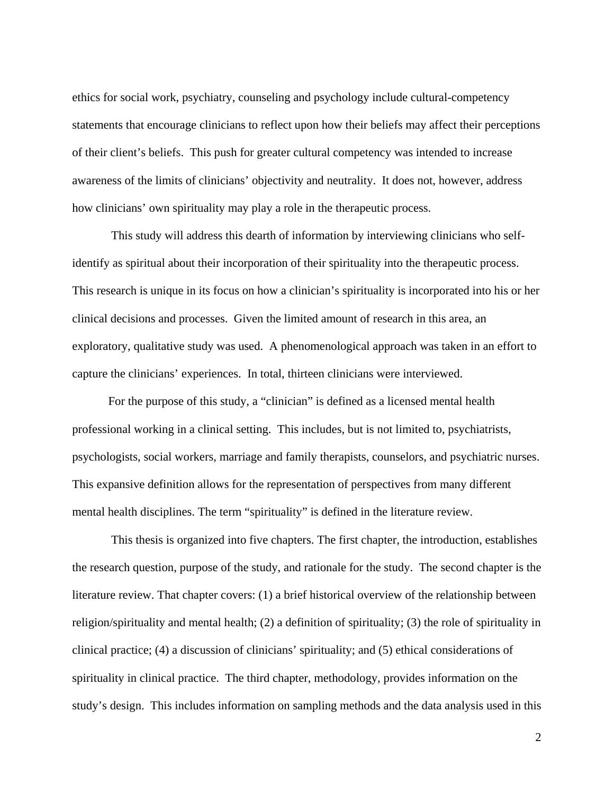ethics for social work, psychiatry, counseling and psychology include cultural-competency statements that encourage clinicians to reflect upon how their beliefs may affect their perceptions of their client's beliefs. This push for greater cultural competency was intended to increase awareness of the limits of clinicians' objectivity and neutrality. It does not, however, address how clinicians' own spirituality may play a role in the therapeutic process.

 This study will address this dearth of information by interviewing clinicians who selfidentify as spiritual about their incorporation of their spirituality into the therapeutic process. This research is unique in its focus on how a clinician's spirituality is incorporated into his or her clinical decisions and processes. Given the limited amount of research in this area, an exploratory, qualitative study was used. A phenomenological approach was taken in an effort to capture the clinicians' experiences. In total, thirteen clinicians were interviewed.

For the purpose of this study, a "clinician" is defined as a licensed mental health professional working in a clinical setting. This includes, but is not limited to, psychiatrists, psychologists, social workers, marriage and family therapists, counselors, and psychiatric nurses. This expansive definition allows for the representation of perspectives from many different mental health disciplines. The term "spirituality" is defined in the literature review.

 This thesis is organized into five chapters. The first chapter, the introduction, establishes the research question, purpose of the study, and rationale for the study. The second chapter is the literature review. That chapter covers: (1) a brief historical overview of the relationship between religion/spirituality and mental health; (2) a definition of spirituality; (3) the role of spirituality in clinical practice; (4) a discussion of clinicians' spirituality; and (5) ethical considerations of spirituality in clinical practice. The third chapter, methodology, provides information on the study's design. This includes information on sampling methods and the data analysis used in this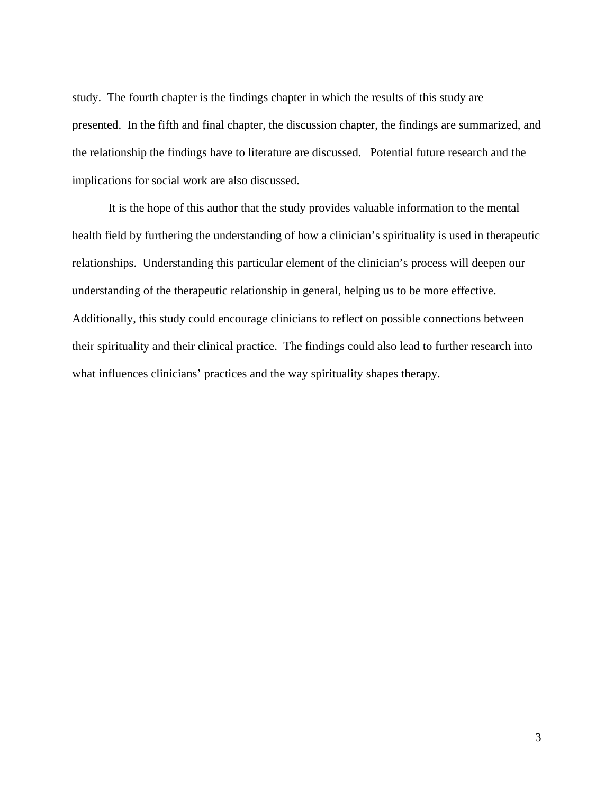study. The fourth chapter is the findings chapter in which the results of this study are presented. In the fifth and final chapter, the discussion chapter, the findings are summarized, and the relationship the findings have to literature are discussed. Potential future research and the implications for social work are also discussed.

It is the hope of this author that the study provides valuable information to the mental health field by furthering the understanding of how a clinician's spirituality is used in therapeutic relationships. Understanding this particular element of the clinician's process will deepen our understanding of the therapeutic relationship in general, helping us to be more effective. Additionally, this study could encourage clinicians to reflect on possible connections between their spirituality and their clinical practice. The findings could also lead to further research into what influences clinicians' practices and the way spirituality shapes therapy.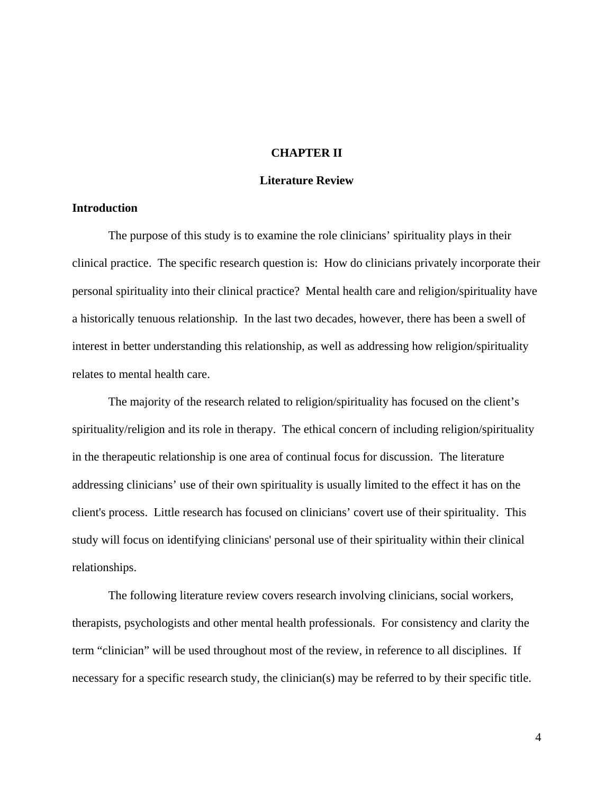## **CHAPTER II**

#### **Literature Review**

## **Introduction**

The purpose of this study is to examine the role clinicians' spirituality plays in their clinical practice. The specific research question is: How do clinicians privately incorporate their personal spirituality into their clinical practice? Mental health care and religion/spirituality have a historically tenuous relationship. In the last two decades, however, there has been a swell of interest in better understanding this relationship, as well as addressing how religion/spirituality relates to mental health care.

The majority of the research related to religion/spirituality has focused on the client's spirituality/religion and its role in therapy. The ethical concern of including religion/spirituality in the therapeutic relationship is one area of continual focus for discussion. The literature addressing clinicians' use of their own spirituality is usually limited to the effect it has on the client's process. Little research has focused on clinicians' covert use of their spirituality. This study will focus on identifying clinicians' personal use of their spirituality within their clinical relationships.

The following literature review covers research involving clinicians, social workers, therapists, psychologists and other mental health professionals. For consistency and clarity the term "clinician" will be used throughout most of the review, in reference to all disciplines. If necessary for a specific research study, the clinician(s) may be referred to by their specific title.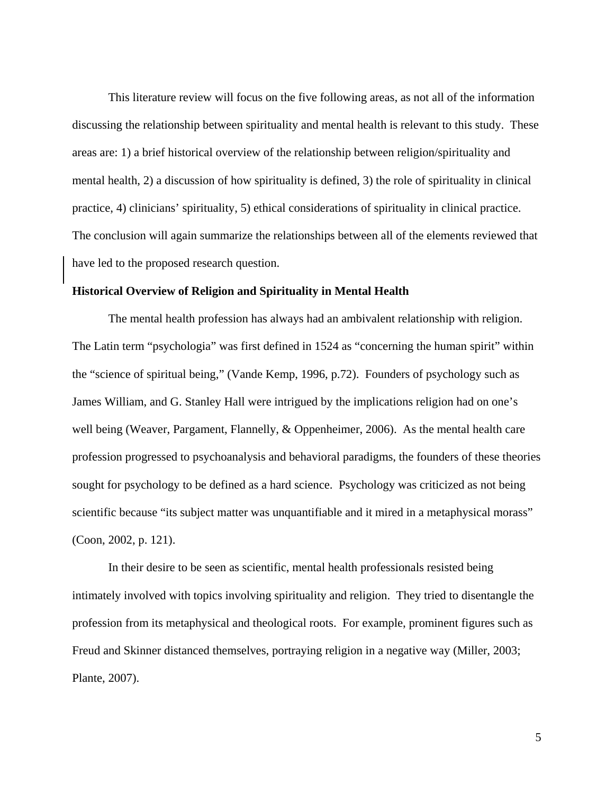This literature review will focus on the five following areas, as not all of the information discussing the relationship between spirituality and mental health is relevant to this study. These areas are: 1) a brief historical overview of the relationship between religion/spirituality and mental health, 2) a discussion of how spirituality is defined, 3) the role of spirituality in clinical practice, 4) clinicians' spirituality, 5) ethical considerations of spirituality in clinical practice. The conclusion will again summarize the relationships between all of the elements reviewed that have led to the proposed research question.

#### **Historical Overview of Religion and Spirituality in Mental Health**

The mental health profession has always had an ambivalent relationship with religion. The Latin term "psychologia" was first defined in 1524 as "concerning the human spirit" within the "science of spiritual being," (Vande Kemp, 1996, p.72). Founders of psychology such as James William, and G. Stanley Hall were intrigued by the implications religion had on one's well being (Weaver, Pargament, Flannelly, & Oppenheimer, 2006). As the mental health care profession progressed to psychoanalysis and behavioral paradigms, the founders of these theories sought for psychology to be defined as a hard science. Psychology was criticized as not being scientific because "its subject matter was unquantifiable and it mired in a metaphysical morass" (Coon, 2002, p. 121).

In their desire to be seen as scientific, mental health professionals resisted being intimately involved with topics involving spirituality and religion. They tried to disentangle the profession from its metaphysical and theological roots. For example, prominent figures such as Freud and Skinner distanced themselves, portraying religion in a negative way (Miller, 2003; Plante, 2007).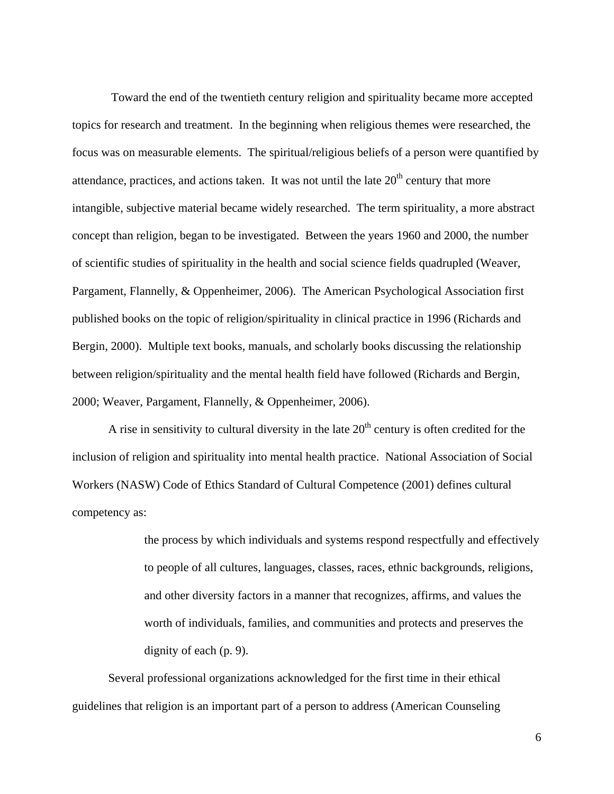Toward the end of the twentieth century religion and spirituality became more accepted topics for research and treatment. In the beginning when religious themes were researched, the focus was on measurable elements. The spiritual/religious beliefs of a person were quantified by attendance, practices, and actions taken. It was not until the late  $20<sup>th</sup>$  century that more intangible, subjective material became widely researched. The term spirituality, a more abstract concept than religion, began to be investigated. Between the years 1960 and 2000, the number of scientific studies of spirituality in the health and social science fields quadrupled (Weaver, Pargament, Flannelly, & Oppenheimer, 2006). The American Psychological Association first published books on the topic of religion/spirituality in clinical practice in 1996 (Richards and Bergin, 2000). Multiple text books, manuals, and scholarly books discussing the relationship between religion/spirituality and the mental health field have followed (Richards and Bergin, 2000; Weaver, Pargament, Flannelly, & Oppenheimer, 2006).

A rise in sensitivity to cultural diversity in the late  $20<sup>th</sup>$  century is often credited for the inclusion of religion and spirituality into mental health practice. National Association of Social Workers (NASW) Code of Ethics Standard of Cultural Competence (2001) defines cultural competency as:

> the process by which individuals and systems respond respectfully and effectively to people of all cultures, languages, classes, races, ethnic backgrounds, religions, and other diversity factors in a manner that recognizes, affirms, and values the worth of individuals, families, and communities and protects and preserves the dignity of each (p. 9).

Several professional organizations acknowledged for the first time in their ethical guidelines that religion is an important part of a person to address (American Counseling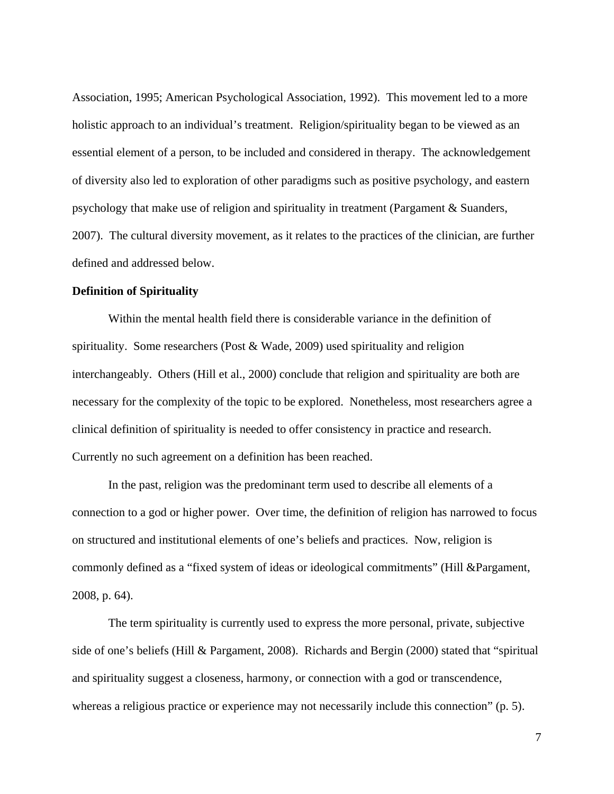Association, 1995; American Psychological Association, 1992). This movement led to a more holistic approach to an individual's treatment. Religion/spirituality began to be viewed as an essential element of a person, to be included and considered in therapy. The acknowledgement of diversity also led to exploration of other paradigms such as positive psychology, and eastern psychology that make use of religion and spirituality in treatment (Pargament & Suanders, 2007). The cultural diversity movement, as it relates to the practices of the clinician, are further defined and addressed below.

#### **Definition of Spirituality**

Within the mental health field there is considerable variance in the definition of spirituality. Some researchers (Post & Wade, 2009) used spirituality and religion interchangeably. Others (Hill et al., 2000) conclude that religion and spirituality are both are necessary for the complexity of the topic to be explored. Nonetheless, most researchers agree a clinical definition of spirituality is needed to offer consistency in practice and research. Currently no such agreement on a definition has been reached.

In the past, religion was the predominant term used to describe all elements of a connection to a god or higher power. Over time, the definition of religion has narrowed to focus on structured and institutional elements of one's beliefs and practices. Now, religion is commonly defined as a "fixed system of ideas or ideological commitments" (Hill &Pargament, 2008, p. 64).

The term spirituality is currently used to express the more personal, private, subjective side of one's beliefs (Hill & Pargament, 2008). Richards and Bergin (2000) stated that "spiritual and spirituality suggest a closeness, harmony, or connection with a god or transcendence, whereas a religious practice or experience may not necessarily include this connection" (p. 5).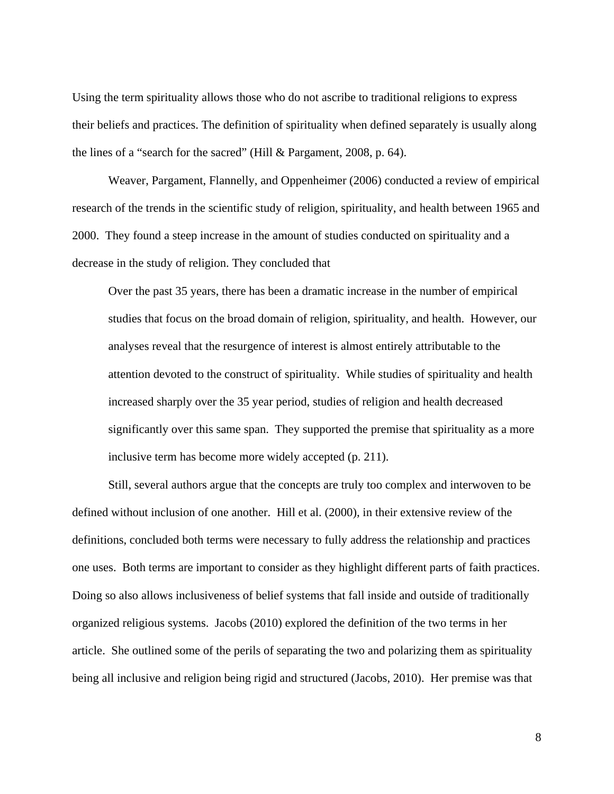Using the term spirituality allows those who do not ascribe to traditional religions to express their beliefs and practices. The definition of spirituality when defined separately is usually along the lines of a "search for the sacred" (Hill & Pargament, 2008, p. 64).

Weaver, Pargament, Flannelly, and Oppenheimer (2006) conducted a review of empirical research of the trends in the scientific study of religion, spirituality, and health between 1965 and 2000. They found a steep increase in the amount of studies conducted on spirituality and a decrease in the study of religion. They concluded that

Over the past 35 years, there has been a dramatic increase in the number of empirical studies that focus on the broad domain of religion, spirituality, and health. However, our analyses reveal that the resurgence of interest is almost entirely attributable to the attention devoted to the construct of spirituality. While studies of spirituality and health increased sharply over the 35 year period, studies of religion and health decreased significantly over this same span. They supported the premise that spirituality as a more inclusive term has become more widely accepted (p. 211).

Still, several authors argue that the concepts are truly too complex and interwoven to be defined without inclusion of one another. Hill et al. (2000), in their extensive review of the definitions, concluded both terms were necessary to fully address the relationship and practices one uses. Both terms are important to consider as they highlight different parts of faith practices. Doing so also allows inclusiveness of belief systems that fall inside and outside of traditionally organized religious systems. Jacobs (2010) explored the definition of the two terms in her article. She outlined some of the perils of separating the two and polarizing them as spirituality being all inclusive and religion being rigid and structured (Jacobs, 2010). Her premise was that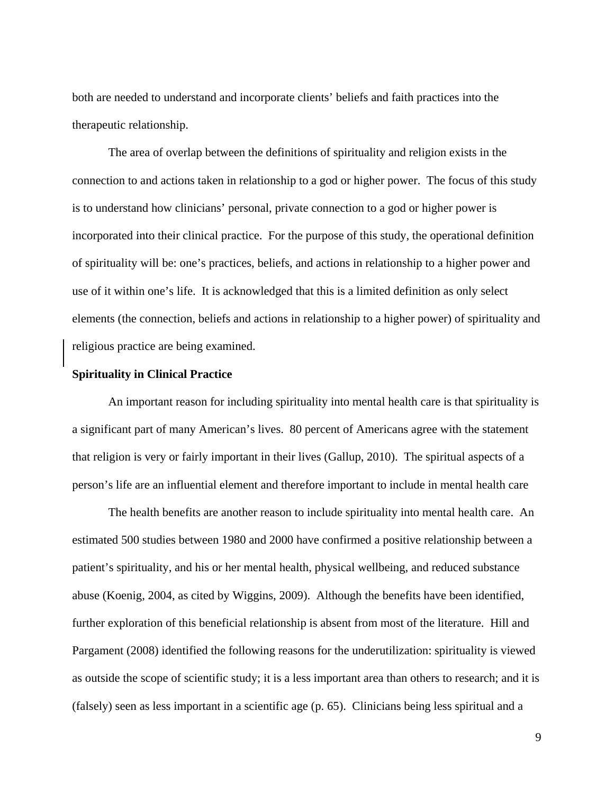both are needed to understand and incorporate clients' beliefs and faith practices into the therapeutic relationship.

The area of overlap between the definitions of spirituality and religion exists in the connection to and actions taken in relationship to a god or higher power. The focus of this study is to understand how clinicians' personal, private connection to a god or higher power is incorporated into their clinical practice. For the purpose of this study, the operational definition of spirituality will be: one's practices, beliefs, and actions in relationship to a higher power and use of it within one's life. It is acknowledged that this is a limited definition as only select elements (the connection, beliefs and actions in relationship to a higher power) of spirituality and religious practice are being examined.

## **Spirituality in Clinical Practice**

An important reason for including spirituality into mental health care is that spirituality is a significant part of many American's lives. 80 percent of Americans agree with the statement that religion is very or fairly important in their lives (Gallup, 2010). The spiritual aspects of a person's life are an influential element and therefore important to include in mental health care

The health benefits are another reason to include spirituality into mental health care. An estimated 500 studies between 1980 and 2000 have confirmed a positive relationship between a patient's spirituality, and his or her mental health, physical wellbeing, and reduced substance abuse (Koenig, 2004, as cited by Wiggins, 2009). Although the benefits have been identified, further exploration of this beneficial relationship is absent from most of the literature. Hill and Pargament (2008) identified the following reasons for the underutilization: spirituality is viewed as outside the scope of scientific study; it is a less important area than others to research; and it is (falsely) seen as less important in a scientific age (p. 65). Clinicians being less spiritual and a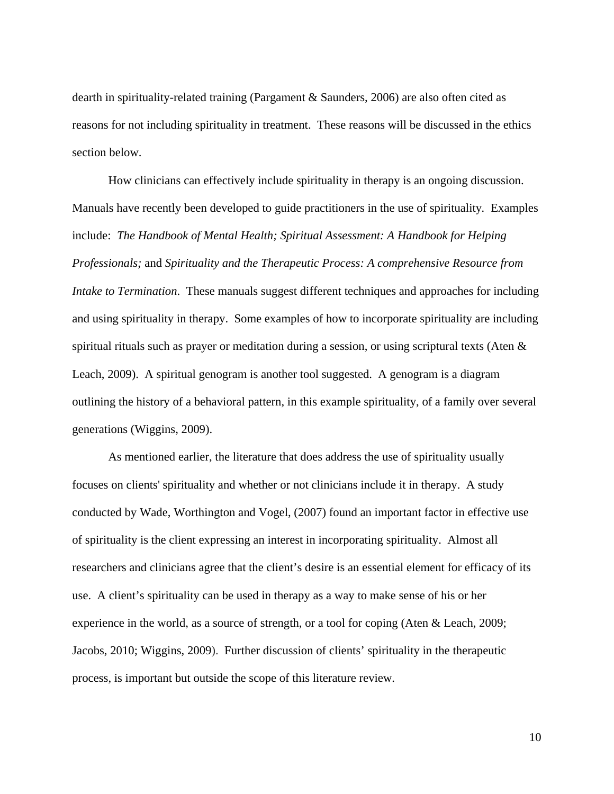dearth in spirituality-related training (Pargament & Saunders, 2006) are also often cited as reasons for not including spirituality in treatment. These reasons will be discussed in the ethics section below.

How clinicians can effectively include spirituality in therapy is an ongoing discussion. Manuals have recently been developed to guide practitioners in the use of spirituality*.* Examples include: *The Handbook of Mental Health; Spiritual Assessment: A Handbook for Helping Professionals;* and *Spirituality and the Therapeutic Process: A comprehensive Resource from Intake to Termination.* These manuals suggest different techniques and approaches for including and using spirituality in therapy. Some examples of how to incorporate spirituality are including spiritual rituals such as prayer or meditation during a session, or using scriptural texts (Aten & Leach, 2009). A spiritual genogram is another tool suggested. A genogram is a diagram outlining the history of a behavioral pattern, in this example spirituality, of a family over several generations (Wiggins, 2009).

As mentioned earlier, the literature that does address the use of spirituality usually focuses on clients' spirituality and whether or not clinicians include it in therapy. A study conducted by Wade, Worthington and Vogel, (2007) found an important factor in effective use of spirituality is the client expressing an interest in incorporating spirituality. Almost all researchers and clinicians agree that the client's desire is an essential element for efficacy of its use. A client's spirituality can be used in therapy as a way to make sense of his or her experience in the world, as a source of strength, or a tool for coping (Aten & Leach, 2009; Jacobs, 2010; Wiggins, 2009). Further discussion of clients' spirituality in the therapeutic process, is important but outside the scope of this literature review.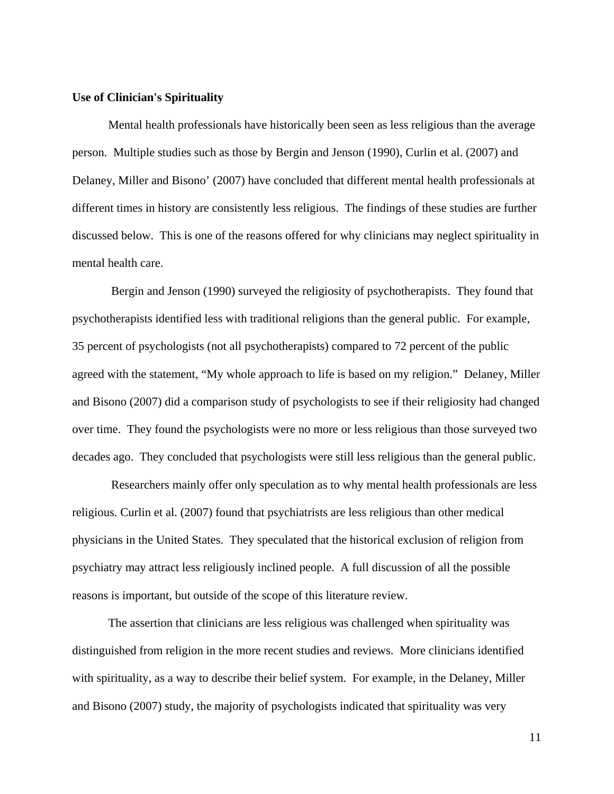#### **Use of Clinician's Spirituality**

Mental health professionals have historically been seen as less religious than the average person. Multiple studies such as those by Bergin and Jenson (1990), Curlin et al. (2007) and Delaney, Miller and Bisono' (2007) have concluded that different mental health professionals at different times in history are consistently less religious. The findings of these studies are further discussed below. This is one of the reasons offered for why clinicians may neglect spirituality in mental health care.

 Bergin and Jenson (1990) surveyed the religiosity of psychotherapists. They found that psychotherapists identified less with traditional religions than the general public. For example, 35 percent of psychologists (not all psychotherapists) compared to 72 percent of the public agreed with the statement, "My whole approach to life is based on my religion." Delaney, Miller and Bisono (2007) did a comparison study of psychologists to see if their religiosity had changed over time. They found the psychologists were no more or less religious than those surveyed two decades ago. They concluded that psychologists were still less religious than the general public.

 Researchers mainly offer only speculation as to why mental health professionals are less religious. Curlin et al. (2007) found that psychiatrists are less religious than other medical physicians in the United States. They speculated that the historical exclusion of religion from psychiatry may attract less religiously inclined people. A full discussion of all the possible reasons is important, but outside of the scope of this literature review.

The assertion that clinicians are less religious was challenged when spirituality was distinguished from religion in the more recent studies and reviews. More clinicians identified with spirituality, as a way to describe their belief system. For example, in the Delaney, Miller and Bisono (2007) study, the majority of psychologists indicated that spirituality was very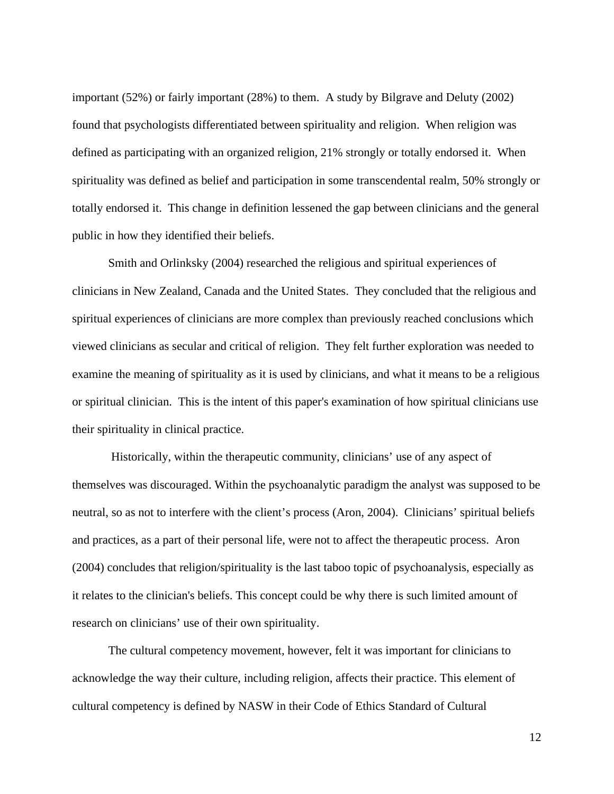important (52%) or fairly important (28%) to them. A study by Bilgrave and Deluty (2002) found that psychologists differentiated between spirituality and religion. When religion was defined as participating with an organized religion, 21% strongly or totally endorsed it. When spirituality was defined as belief and participation in some transcendental realm, 50% strongly or totally endorsed it. This change in definition lessened the gap between clinicians and the general public in how they identified their beliefs.

Smith and Orlinksky (2004) researched the religious and spiritual experiences of clinicians in New Zealand, Canada and the United States. They concluded that the religious and spiritual experiences of clinicians are more complex than previously reached conclusions which viewed clinicians as secular and critical of religion. They felt further exploration was needed to examine the meaning of spirituality as it is used by clinicians, and what it means to be a religious or spiritual clinician. This is the intent of this paper's examination of how spiritual clinicians use their spirituality in clinical practice.

 Historically, within the therapeutic community, clinicians' use of any aspect of themselves was discouraged. Within the psychoanalytic paradigm the analyst was supposed to be neutral, so as not to interfere with the client's process (Aron, 2004). Clinicians' spiritual beliefs and practices, as a part of their personal life, were not to affect the therapeutic process. Aron (2004) concludes that religion/spirituality is the last taboo topic of psychoanalysis, especially as it relates to the clinician's beliefs. This concept could be why there is such limited amount of research on clinicians' use of their own spirituality.

 The cultural competency movement, however, felt it was important for clinicians to acknowledge the way their culture, including religion, affects their practice. This element of cultural competency is defined by NASW in their Code of Ethics Standard of Cultural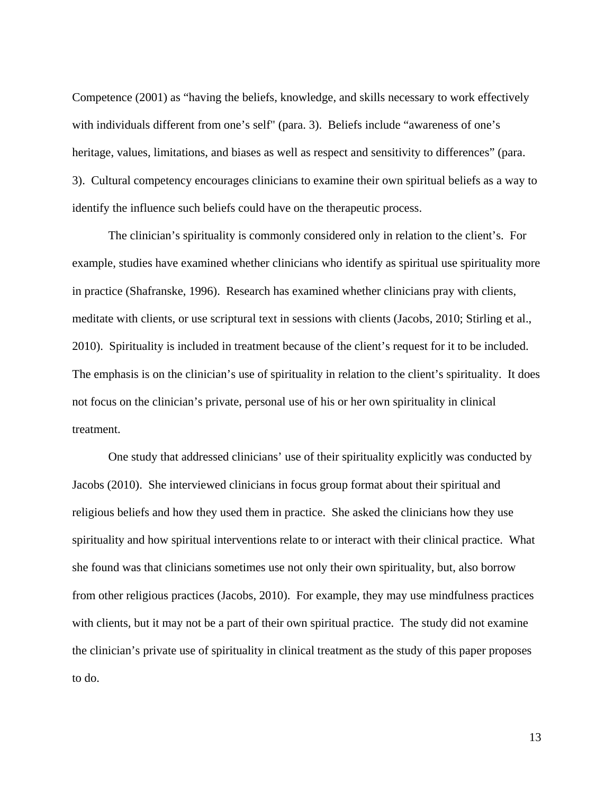Competence (2001) as "having the beliefs, knowledge, and skills necessary to work effectively with individuals different from one's self" (para. 3). Beliefs include "awareness of one's heritage, values, limitations, and biases as well as respect and sensitivity to differences" (para. 3). Cultural competency encourages clinicians to examine their own spiritual beliefs as a way to identify the influence such beliefs could have on the therapeutic process.

The clinician's spirituality is commonly considered only in relation to the client's. For example, studies have examined whether clinicians who identify as spiritual use spirituality more in practice (Shafranske, 1996). Research has examined whether clinicians pray with clients, meditate with clients, or use scriptural text in sessions with clients (Jacobs, 2010; Stirling et al., 2010). Spirituality is included in treatment because of the client's request for it to be included. The emphasis is on the clinician's use of spirituality in relation to the client's spirituality. It does not focus on the clinician's private, personal use of his or her own spirituality in clinical treatment.

One study that addressed clinicians' use of their spirituality explicitly was conducted by Jacobs (2010). She interviewed clinicians in focus group format about their spiritual and religious beliefs and how they used them in practice. She asked the clinicians how they use spirituality and how spiritual interventions relate to or interact with their clinical practice. What she found was that clinicians sometimes use not only their own spirituality, but, also borrow from other religious practices (Jacobs, 2010). For example, they may use mindfulness practices with clients, but it may not be a part of their own spiritual practice. The study did not examine the clinician's private use of spirituality in clinical treatment as the study of this paper proposes to do.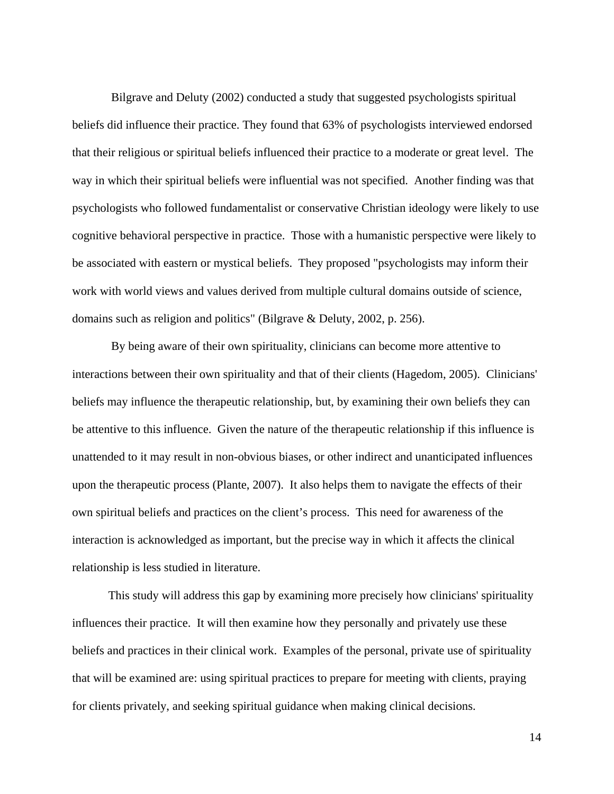Bilgrave and Deluty (2002) conducted a study that suggested psychologists spiritual beliefs did influence their practice. They found that 63% of psychologists interviewed endorsed that their religious or spiritual beliefs influenced their practice to a moderate or great level. The way in which their spiritual beliefs were influential was not specified. Another finding was that psychologists who followed fundamentalist or conservative Christian ideology were likely to use cognitive behavioral perspective in practice. Those with a humanistic perspective were likely to be associated with eastern or mystical beliefs. They proposed "psychologists may inform their work with world views and values derived from multiple cultural domains outside of science, domains such as religion and politics" (Bilgrave & Deluty, 2002, p. 256).

 By being aware of their own spirituality, clinicians can become more attentive to interactions between their own spirituality and that of their clients (Hagedom, 2005). Clinicians' beliefs may influence the therapeutic relationship, but, by examining their own beliefs they can be attentive to this influence. Given the nature of the therapeutic relationship if this influence is unattended to it may result in non-obvious biases, or other indirect and unanticipated influences upon the therapeutic process (Plante, 2007). It also helps them to navigate the effects of their own spiritual beliefs and practices on the client's process. This need for awareness of the interaction is acknowledged as important, but the precise way in which it affects the clinical relationship is less studied in literature.

This study will address this gap by examining more precisely how clinicians' spirituality influences their practice. It will then examine how they personally and privately use these beliefs and practices in their clinical work. Examples of the personal, private use of spirituality that will be examined are: using spiritual practices to prepare for meeting with clients, praying for clients privately, and seeking spiritual guidance when making clinical decisions.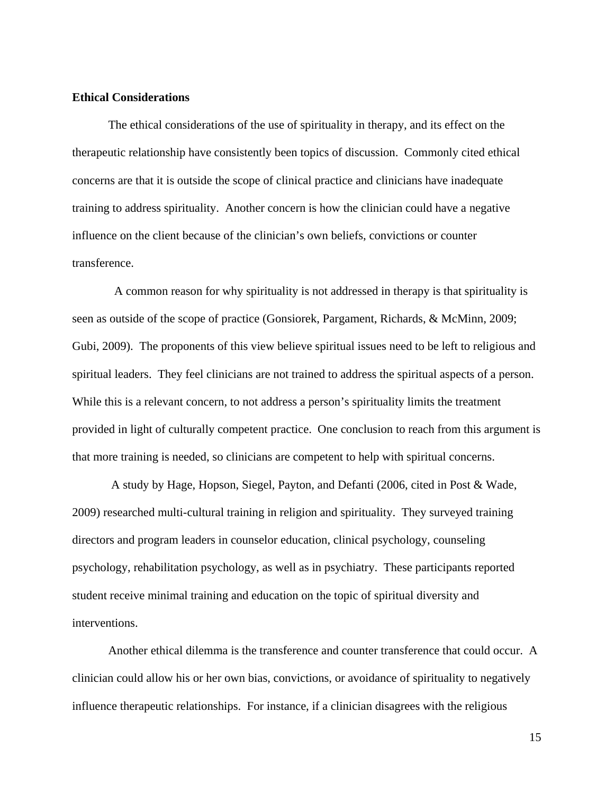## **Ethical Considerations**

The ethical considerations of the use of spirituality in therapy, and its effect on the therapeutic relationship have consistently been topics of discussion. Commonly cited ethical concerns are that it is outside the scope of clinical practice and clinicians have inadequate training to address spirituality. Another concern is how the clinician could have a negative influence on the client because of the clinician's own beliefs, convictions or counter transference.

 A common reason for why spirituality is not addressed in therapy is that spirituality is seen as outside of the scope of practice (Gonsiorek, Pargament, Richards, & McMinn, 2009; Gubi, 2009). The proponents of this view believe spiritual issues need to be left to religious and spiritual leaders. They feel clinicians are not trained to address the spiritual aspects of a person. While this is a relevant concern, to not address a person's spirituality limits the treatment provided in light of culturally competent practice. One conclusion to reach from this argument is that more training is needed, so clinicians are competent to help with spiritual concerns.

 A study by Hage, Hopson, Siegel, Payton, and Defanti (2006, cited in Post & Wade, 2009) researched multi-cultural training in religion and spirituality. They surveyed training directors and program leaders in counselor education, clinical psychology, counseling psychology, rehabilitation psychology, as well as in psychiatry. These participants reported student receive minimal training and education on the topic of spiritual diversity and interventions.

Another ethical dilemma is the transference and counter transference that could occur. A clinician could allow his or her own bias, convictions, or avoidance of spirituality to negatively influence therapeutic relationships. For instance, if a clinician disagrees with the religious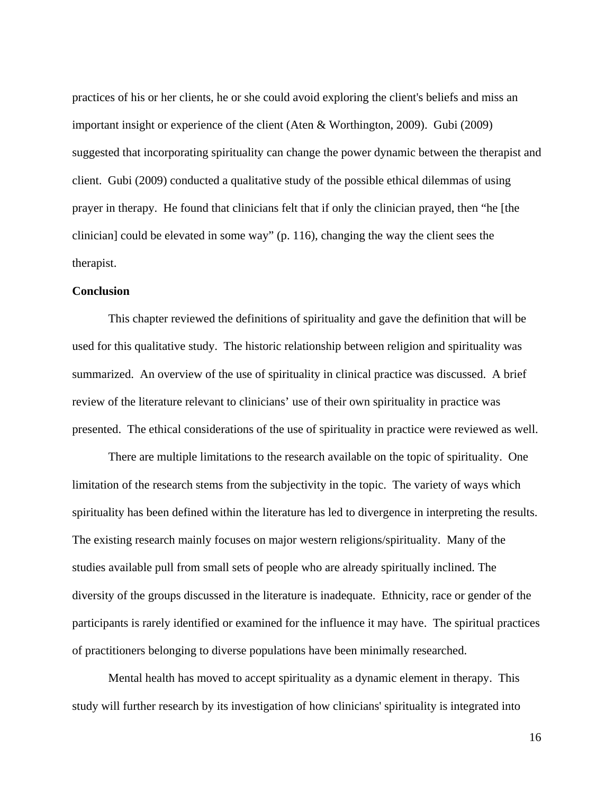practices of his or her clients, he or she could avoid exploring the client's beliefs and miss an important insight or experience of the client (Aten & Worthington, 2009). Gubi (2009) suggested that incorporating spirituality can change the power dynamic between the therapist and client. Gubi (2009) conducted a qualitative study of the possible ethical dilemmas of using prayer in therapy. He found that clinicians felt that if only the clinician prayed, then "he [the clinician] could be elevated in some way" (p. 116), changing the way the client sees the therapist.

## **Conclusion**

This chapter reviewed the definitions of spirituality and gave the definition that will be used for this qualitative study. The historic relationship between religion and spirituality was summarized. An overview of the use of spirituality in clinical practice was discussed. A brief review of the literature relevant to clinicians' use of their own spirituality in practice was presented. The ethical considerations of the use of spirituality in practice were reviewed as well.

There are multiple limitations to the research available on the topic of spirituality. One limitation of the research stems from the subjectivity in the topic. The variety of ways which spirituality has been defined within the literature has led to divergence in interpreting the results. The existing research mainly focuses on major western religions/spirituality. Many of the studies available pull from small sets of people who are already spiritually inclined. The diversity of the groups discussed in the literature is inadequate. Ethnicity, race or gender of the participants is rarely identified or examined for the influence it may have. The spiritual practices of practitioners belonging to diverse populations have been minimally researched.

Mental health has moved to accept spirituality as a dynamic element in therapy. This study will further research by its investigation of how clinicians' spirituality is integrated into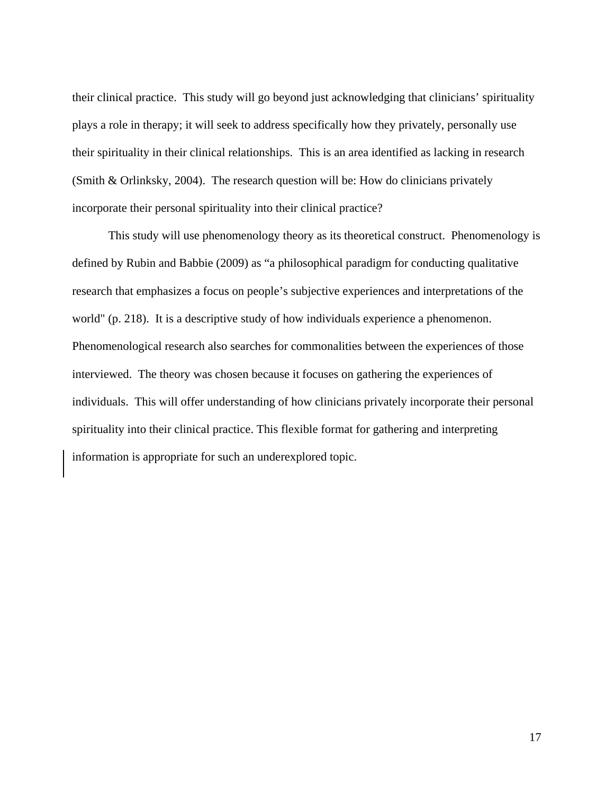their clinical practice. This study will go beyond just acknowledging that clinicians' spirituality plays a role in therapy; it will seek to address specifically how they privately, personally use their spirituality in their clinical relationships. This is an area identified as lacking in research (Smith & Orlinksky, 2004). The research question will be: How do clinicians privately incorporate their personal spirituality into their clinical practice?

This study will use phenomenology theory as its theoretical construct. Phenomenology is defined by Rubin and Babbie (2009) as "a philosophical paradigm for conducting qualitative research that emphasizes a focus on people's subjective experiences and interpretations of the world" (p. 218). It is a descriptive study of how individuals experience a phenomenon. Phenomenological research also searches for commonalities between the experiences of those interviewed. The theory was chosen because it focuses on gathering the experiences of individuals. This will offer understanding of how clinicians privately incorporate their personal spirituality into their clinical practice. This flexible format for gathering and interpreting information is appropriate for such an underexplored topic.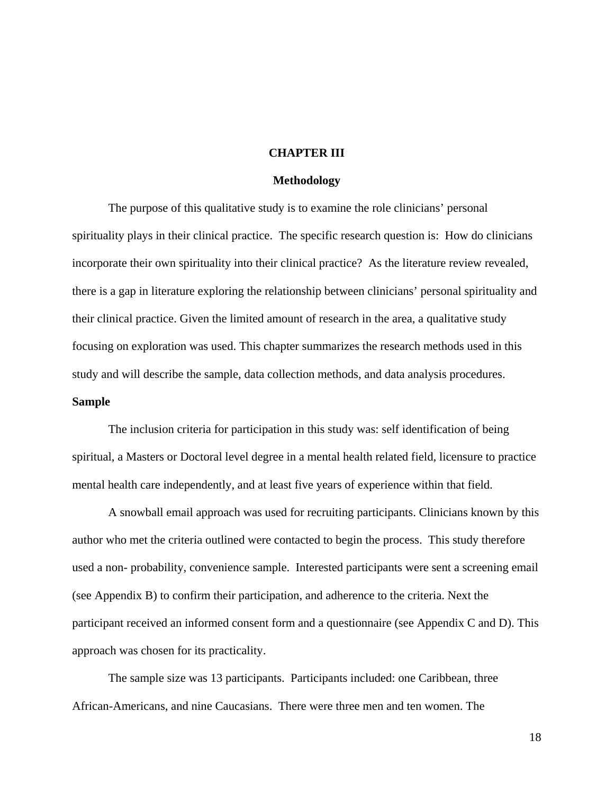## **CHAPTER III**

#### **Methodology**

The purpose of this qualitative study is to examine the role clinicians' personal spirituality plays in their clinical practice. The specific research question is: How do clinicians incorporate their own spirituality into their clinical practice? As the literature review revealed, there is a gap in literature exploring the relationship between clinicians' personal spirituality and their clinical practice. Given the limited amount of research in the area, a qualitative study focusing on exploration was used. This chapter summarizes the research methods used in this study and will describe the sample, data collection methods, and data analysis procedures.

## **Sample**

The inclusion criteria for participation in this study was: self identification of being spiritual, a Masters or Doctoral level degree in a mental health related field, licensure to practice mental health care independently, and at least five years of experience within that field.

A snowball email approach was used for recruiting participants. Clinicians known by this author who met the criteria outlined were contacted to begin the process. This study therefore used a non- probability, convenience sample. Interested participants were sent a screening email (see Appendix B) to confirm their participation, and adherence to the criteria. Next the participant received an informed consent form and a questionnaire (see Appendix C and D). This approach was chosen for its practicality.

The sample size was 13 participants. Participants included: one Caribbean, three African-Americans, and nine Caucasians. There were three men and ten women. The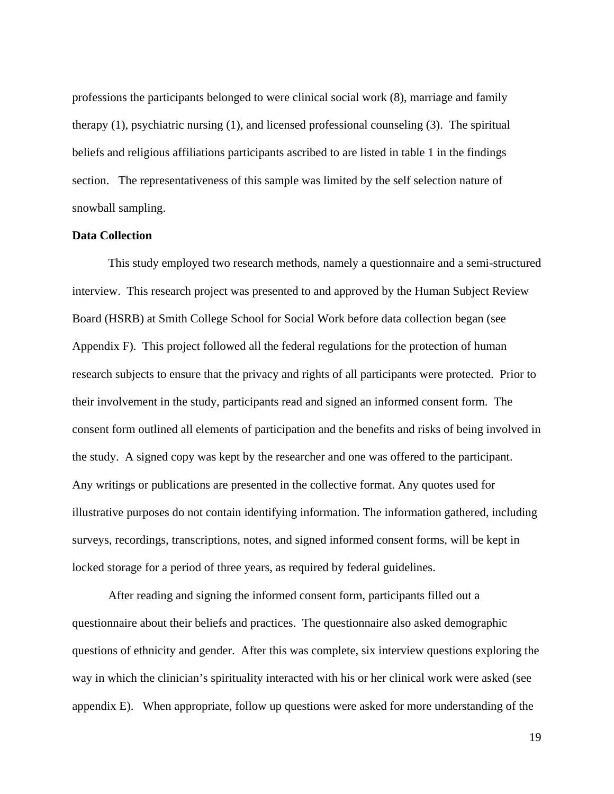professions the participants belonged to were clinical social work (8), marriage and family therapy (1), psychiatric nursing (1), and licensed professional counseling (3). The spiritual beliefs and religious affiliations participants ascribed to are listed in table 1 in the findings section. The representativeness of this sample was limited by the self selection nature of snowball sampling.

## **Data Collection**

This study employed two research methods, namely a questionnaire and a semi-structured interview. This research project was presented to and approved by the Human Subject Review Board (HSRB) at Smith College School for Social Work before data collection began (see Appendix F). This project followed all the federal regulations for the protection of human research subjects to ensure that the privacy and rights of all participants were protected. Prior to their involvement in the study, participants read and signed an informed consent form. The consent form outlined all elements of participation and the benefits and risks of being involved in the study. A signed copy was kept by the researcher and one was offered to the participant. Any writings or publications are presented in the collective format. Any quotes used for illustrative purposes do not contain identifying information. The information gathered, including surveys, recordings, transcriptions, notes, and signed informed consent forms, will be kept in locked storage for a period of three years, as required by federal guidelines.

After reading and signing the informed consent form, participants filled out a questionnaire about their beliefs and practices. The questionnaire also asked demographic questions of ethnicity and gender. After this was complete, six interview questions exploring the way in which the clinician's spirituality interacted with his or her clinical work were asked (see appendix E). When appropriate, follow up questions were asked for more understanding of the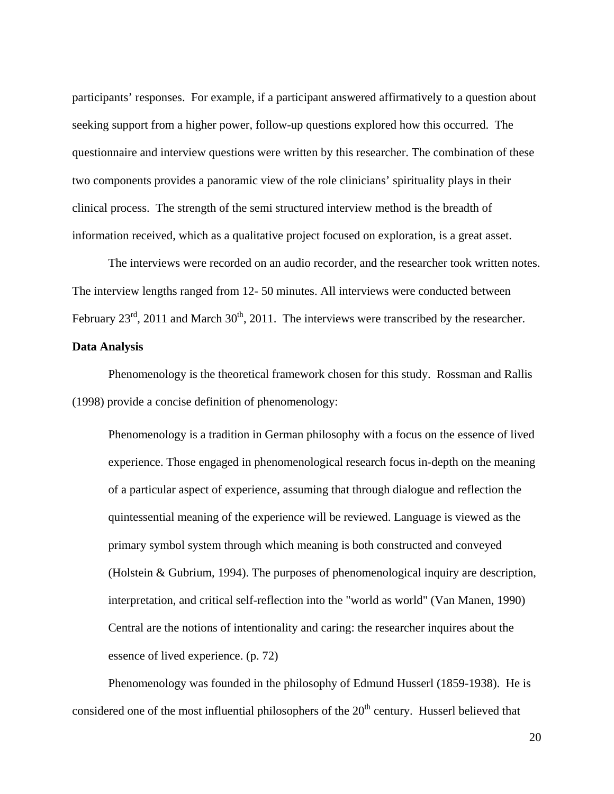participants' responses. For example, if a participant answered affirmatively to a question about seeking support from a higher power, follow-up questions explored how this occurred. The questionnaire and interview questions were written by this researcher. The combination of these two components provides a panoramic view of the role clinicians' spirituality plays in their clinical process. The strength of the semi structured interview method is the breadth of information received, which as a qualitative project focused on exploration, is a great asset.

The interviews were recorded on an audio recorder, and the researcher took written notes. The interview lengths ranged from 12- 50 minutes. All interviews were conducted between February  $23<sup>rd</sup>$ , 2011 and March  $30<sup>th</sup>$ , 2011. The interviews were transcribed by the researcher.

## **Data Analysis**

Phenomenology is the theoretical framework chosen for this study. Rossman and Rallis (1998) provide a concise definition of phenomenology:

Phenomenology is a tradition in German philosophy with a focus on the essence of lived experience. Those engaged in phenomenological research focus in-depth on the meaning of a particular aspect of experience, assuming that through dialogue and reflection the quintessential meaning of the experience will be reviewed. Language is viewed as the primary symbol system through which meaning is both constructed and conveyed (Holstein & Gubrium, 1994). The purposes of phenomenological inquiry are description, interpretation, and critical self-reflection into the "world as world" (Van Manen, 1990) Central are the notions of intentionality and caring: the researcher inquires about the essence of lived experience. (p. 72)

Phenomenology was founded in the philosophy of Edmund Husserl (1859-1938). He is considered one of the most influential philosophers of the  $20<sup>th</sup>$  century. Husserl believed that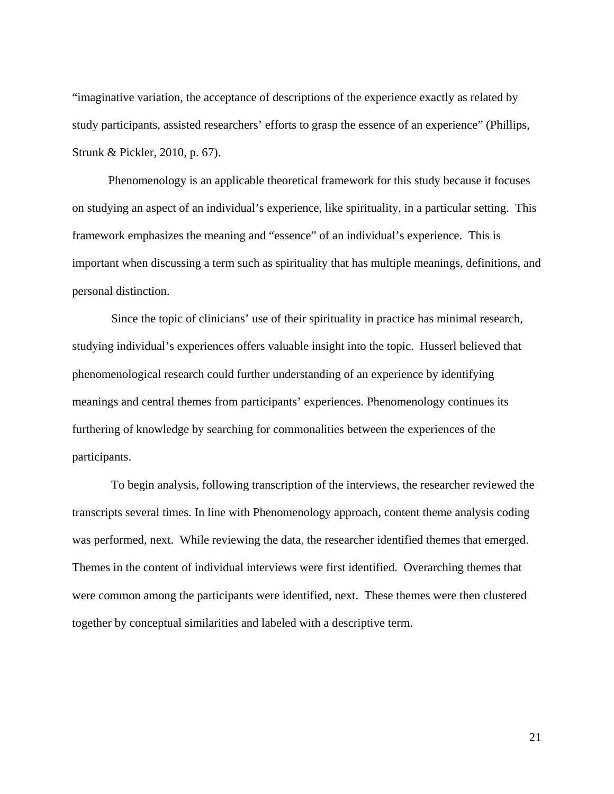"imaginative variation, the acceptance of descriptions of the experience exactly as related by study participants, assisted researchers' efforts to grasp the essence of an experience" (Phillips, Strunk & Pickler, 2010, p. 67).

Phenomenology is an applicable theoretical framework for this study because it focuses on studying an aspect of an individual's experience, like spirituality, in a particular setting. This framework emphasizes the meaning and "essence" of an individual's experience. This is important when discussing a term such as spirituality that has multiple meanings, definitions, and personal distinction.

 Since the topic of clinicians' use of their spirituality in practice has minimal research, studying individual's experiences offers valuable insight into the topic. Husserl believed that phenomenological research could further understanding of an experience by identifying meanings and central themes from participants' experiences. Phenomenology continues its furthering of knowledge by searching for commonalities between the experiences of the participants.

 To begin analysis, following transcription of the interviews, the researcher reviewed the transcripts several times. In line with Phenomenology approach, content theme analysis coding was performed, next. While reviewing the data, the researcher identified themes that emerged. Themes in the content of individual interviews were first identified. Overarching themes that were common among the participants were identified, next. These themes were then clustered together by conceptual similarities and labeled with a descriptive term.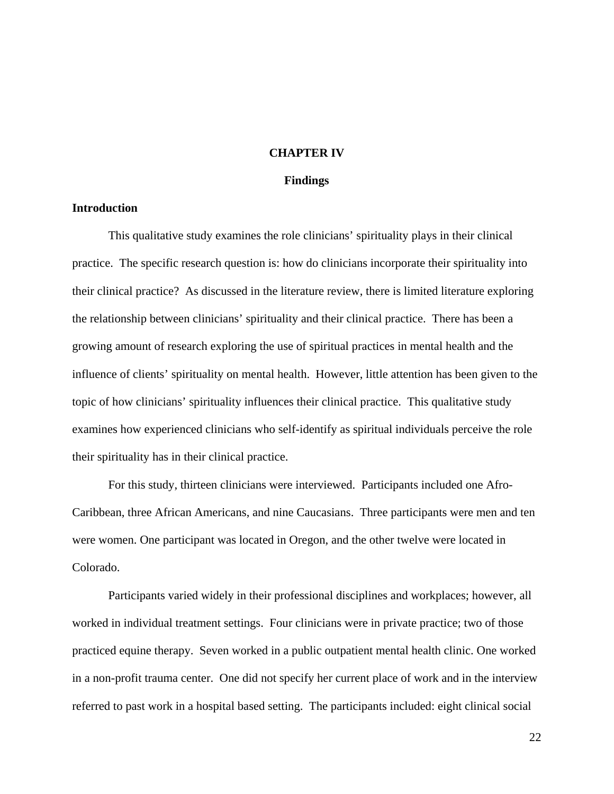## **CHAPTER IV**

#### **Findings**

## **Introduction**

This qualitative study examines the role clinicians' spirituality plays in their clinical practice. The specific research question is: how do clinicians incorporate their spirituality into their clinical practice? As discussed in the literature review, there is limited literature exploring the relationship between clinicians' spirituality and their clinical practice. There has been a growing amount of research exploring the use of spiritual practices in mental health and the influence of clients' spirituality on mental health. However, little attention has been given to the topic of how clinicians' spirituality influences their clinical practice. This qualitative study examines how experienced clinicians who self-identify as spiritual individuals perceive the role their spirituality has in their clinical practice.

For this study, thirteen clinicians were interviewed. Participants included one Afro-Caribbean, three African Americans, and nine Caucasians. Three participants were men and ten were women. One participant was located in Oregon, and the other twelve were located in Colorado.

Participants varied widely in their professional disciplines and workplaces; however, all worked in individual treatment settings. Four clinicians were in private practice; two of those practiced equine therapy. Seven worked in a public outpatient mental health clinic. One worked in a non-profit trauma center. One did not specify her current place of work and in the interview referred to past work in a hospital based setting. The participants included: eight clinical social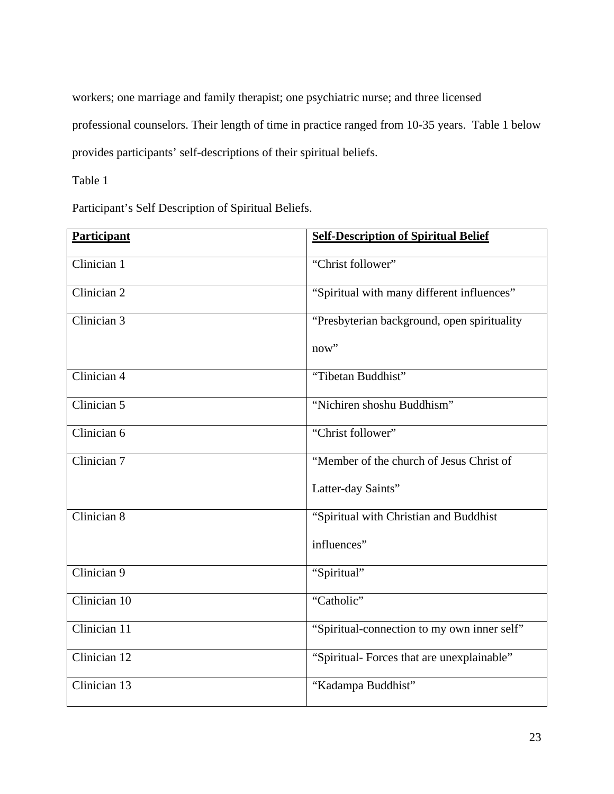workers; one marriage and family therapist; one psychiatric nurse; and three licensed professional counselors. Their length of time in practice ranged from 10-35 years. Table 1 below provides participants' self-descriptions of their spiritual beliefs.

Table 1

Participant's Self Description of Spiritual Beliefs.

| <b>Participant</b>       | <b>Self-Description of Spiritual Belief</b> |
|--------------------------|---------------------------------------------|
| Clinician 1              | "Christ follower"                           |
| Clinician 2              | "Spiritual with many different influences"  |
| Clinician $\overline{3}$ | "Presbyterian background, open spirituality |
|                          | now"                                        |
| Clinician 4              | "Tibetan Buddhist"                          |
| Clinician $5$            | "Nichiren shoshu Buddhism"                  |
| Clinician 6              | "Christ follower"                           |
| Clinician 7              | "Member of the church of Jesus Christ of    |
|                          | Latter-day Saints"                          |
| Clinician 8              | "Spiritual with Christian and Buddhist      |
|                          | influences"                                 |
| Clinician 9              | "Spiritual"                                 |
| Clinician 10             | "Catholic"                                  |
| Clinician 11             | "Spiritual-connection to my own inner self" |
| Clinician 12             | "Spiritual- Forces that are unexplainable"  |
| Clinician 13             | "Kadampa Buddhist"                          |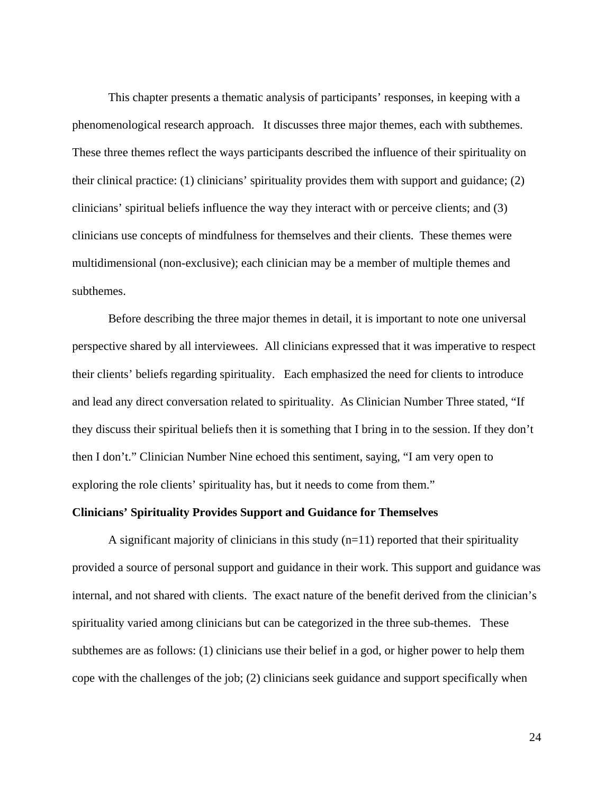This chapter presents a thematic analysis of participants' responses, in keeping with a phenomenological research approach. It discusses three major themes, each with subthemes. These three themes reflect the ways participants described the influence of their spirituality on their clinical practice: (1) clinicians' spirituality provides them with support and guidance; (2) clinicians' spiritual beliefs influence the way they interact with or perceive clients; and (3) clinicians use concepts of mindfulness for themselves and their clients. These themes were multidimensional (non-exclusive); each clinician may be a member of multiple themes and subthemes.

Before describing the three major themes in detail, it is important to note one universal perspective shared by all interviewees. All clinicians expressed that it was imperative to respect their clients' beliefs regarding spirituality. Each emphasized the need for clients to introduce and lead any direct conversation related to spirituality. As Clinician Number Three stated, "If they discuss their spiritual beliefs then it is something that I bring in to the session. If they don't then I don't." Clinician Number Nine echoed this sentiment, saying, "I am very open to exploring the role clients' spirituality has, but it needs to come from them."

## **Clinicians' Spirituality Provides Support and Guidance for Themselves**

A significant majority of clinicians in this study  $(n=11)$  reported that their spirituality provided a source of personal support and guidance in their work. This support and guidance was internal, and not shared with clients. The exact nature of the benefit derived from the clinician's spirituality varied among clinicians but can be categorized in the three sub-themes. These subthemes are as follows: (1) clinicians use their belief in a god, or higher power to help them cope with the challenges of the job; (2) clinicians seek guidance and support specifically when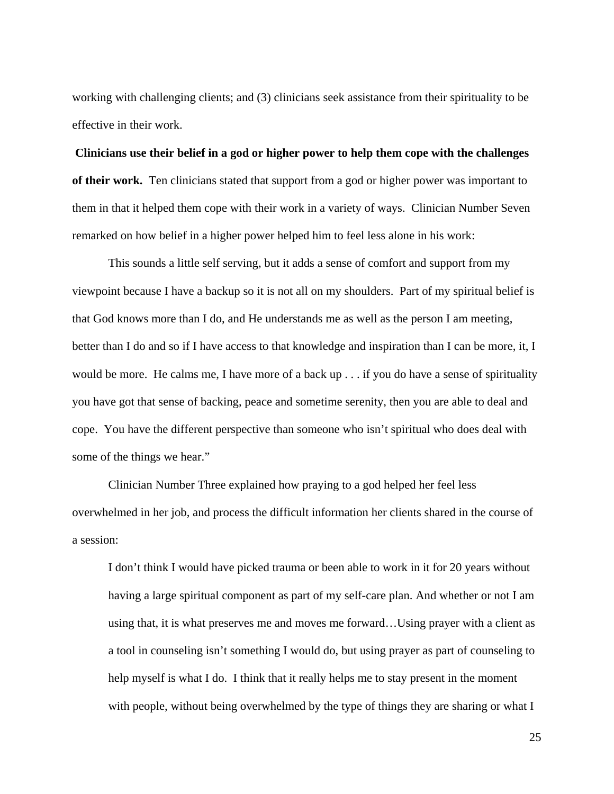working with challenging clients; and (3) clinicians seek assistance from their spirituality to be effective in their work.

**Clinicians use their belief in a god or higher power to help them cope with the challenges of their work.**Ten clinicians stated that support from a god or higher power was important to them in that it helped them cope with their work in a variety of ways. Clinician Number Seven remarked on how belief in a higher power helped him to feel less alone in his work:

This sounds a little self serving, but it adds a sense of comfort and support from my viewpoint because I have a backup so it is not all on my shoulders. Part of my spiritual belief is that God knows more than I do, and He understands me as well as the person I am meeting, better than I do and so if I have access to that knowledge and inspiration than I can be more, it, I would be more. He calms me, I have more of a back up . . . if you do have a sense of spirituality you have got that sense of backing, peace and sometime serenity, then you are able to deal and cope. You have the different perspective than someone who isn't spiritual who does deal with some of the things we hear."

Clinician Number Three explained how praying to a god helped her feel less overwhelmed in her job, and process the difficult information her clients shared in the course of a session:

I don't think I would have picked trauma or been able to work in it for 20 years without having a large spiritual component as part of my self-care plan. And whether or not I am using that, it is what preserves me and moves me forward…Using prayer with a client as a tool in counseling isn't something I would do, but using prayer as part of counseling to help myself is what I do. I think that it really helps me to stay present in the moment with people, without being overwhelmed by the type of things they are sharing or what I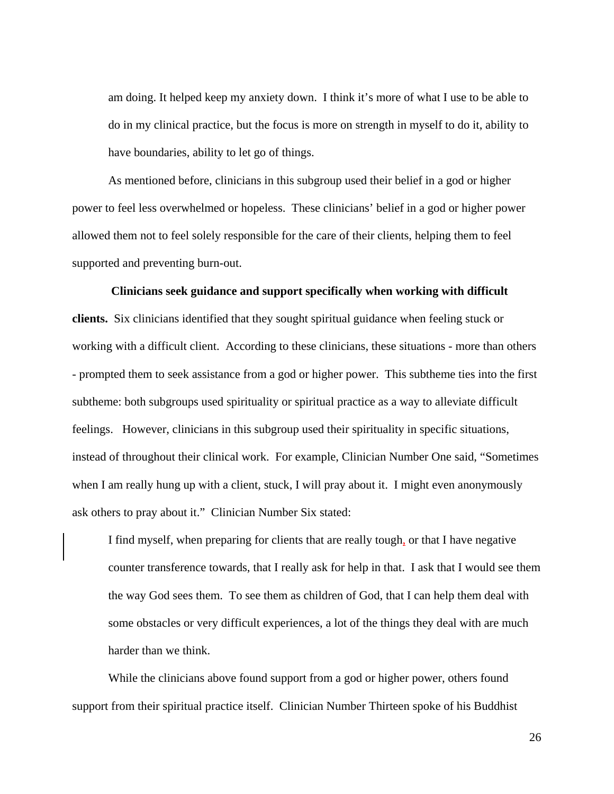am doing. It helped keep my anxiety down. I think it's more of what I use to be able to do in my clinical practice, but the focus is more on strength in myself to do it, ability to have boundaries, ability to let go of things.

 As mentioned before, clinicians in this subgroup used their belief in a god or higher power to feel less overwhelmed or hopeless. These clinicians' belief in a god or higher power allowed them not to feel solely responsible for the care of their clients, helping them to feel supported and preventing burn-out.

# **Clinicians seek guidance and support specifically when working with difficult clients.** Six clinicians identified that they sought spiritual guidance when feeling stuck or working with a difficult client. According to these clinicians, these situations - more than others - prompted them to seek assistance from a god or higher power. This subtheme ties into the first subtheme: both subgroups used spirituality or spiritual practice as a way to alleviate difficult feelings. However, clinicians in this subgroup used their spirituality in specific situations, instead of throughout their clinical work. For example, Clinician Number One said, "Sometimes when I am really hung up with a client, stuck, I will pray about it. I might even anonymously ask others to pray about it." Clinician Number Six stated:

I find myself, when preparing for clients that are really tough, or that I have negative counter transference towards, that I really ask for help in that. I ask that I would see them the way God sees them. To see them as children of God, that I can help them deal with some obstacles or very difficult experiences, a lot of the things they deal with are much harder than we think.

 While the clinicians above found support from a god or higher power, others found support from their spiritual practice itself. Clinician Number Thirteen spoke of his Buddhist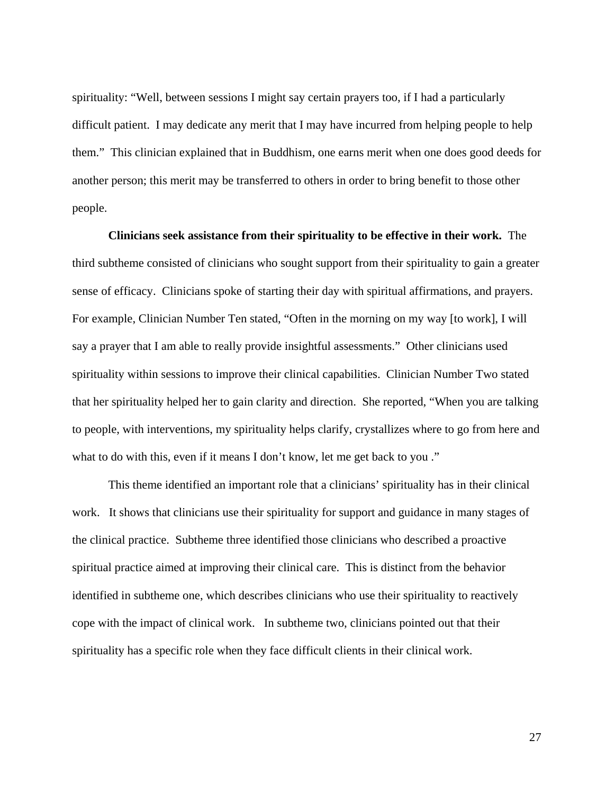spirituality: "Well, between sessions I might say certain prayers too, if I had a particularly difficult patient. I may dedicate any merit that I may have incurred from helping people to help them." This clinician explained that in Buddhism, one earns merit when one does good deeds for another person; this merit may be transferred to others in order to bring benefit to those other people.

**Clinicians seek assistance from their spirituality to be effective in their work.** The third subtheme consisted of clinicians who sought support from their spirituality to gain a greater sense of efficacy. Clinicians spoke of starting their day with spiritual affirmations, and prayers. For example, Clinician Number Ten stated, "Often in the morning on my way [to work], I will say a prayer that I am able to really provide insightful assessments." Other clinicians used spirituality within sessions to improve their clinical capabilities. Clinician Number Two stated that her spirituality helped her to gain clarity and direction. She reported, "When you are talking to people, with interventions, my spirituality helps clarify, crystallizes where to go from here and what to do with this, even if it means I don't know, let me get back to you."

This theme identified an important role that a clinicians' spirituality has in their clinical work. It shows that clinicians use their spirituality for support and guidance in many stages of the clinical practice. Subtheme three identified those clinicians who described a proactive spiritual practice aimed at improving their clinical care. This is distinct from the behavior identified in subtheme one, which describes clinicians who use their spirituality to reactively cope with the impact of clinical work. In subtheme two, clinicians pointed out that their spirituality has a specific role when they face difficult clients in their clinical work.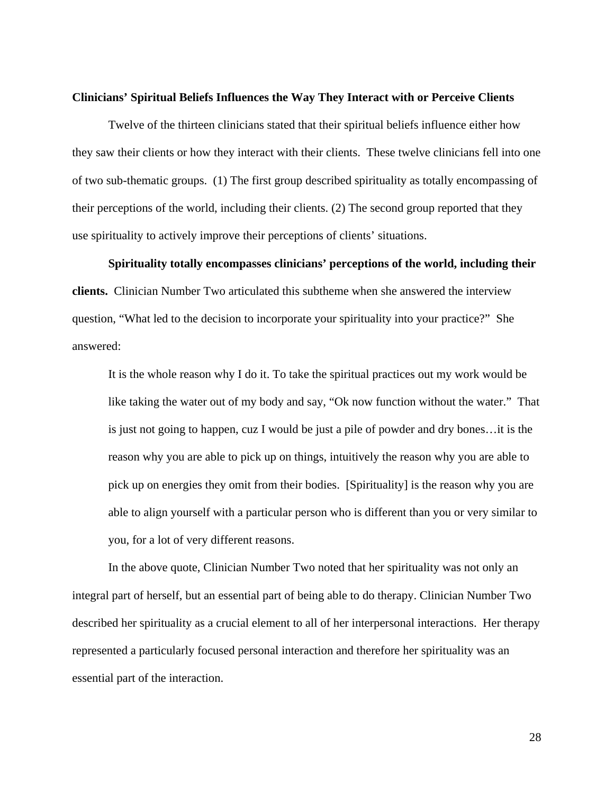#### **Clinicians' Spiritual Beliefs Influences the Way They Interact with or Perceive Clients**

Twelve of the thirteen clinicians stated that their spiritual beliefs influence either how they saw their clients or how they interact with their clients. These twelve clinicians fell into one of two sub-thematic groups. (1) The first group described spirituality as totally encompassing of their perceptions of the world, including their clients. (2) The second group reported that they use spirituality to actively improve their perceptions of clients' situations.

**Spirituality totally encompasses clinicians' perceptions of the world, including their clients.** Clinician Number Two articulated this subtheme when she answered the interview question, "What led to the decision to incorporate your spirituality into your practice?" She answered:

It is the whole reason why I do it. To take the spiritual practices out my work would be like taking the water out of my body and say, "Ok now function without the water." That is just not going to happen, cuz I would be just a pile of powder and dry bones…it is the reason why you are able to pick up on things, intuitively the reason why you are able to pick up on energies they omit from their bodies. [Spirituality] is the reason why you are able to align yourself with a particular person who is different than you or very similar to you, for a lot of very different reasons.

In the above quote, Clinician Number Two noted that her spirituality was not only an integral part of herself, but an essential part of being able to do therapy. Clinician Number Two described her spirituality as a crucial element to all of her interpersonal interactions. Her therapy represented a particularly focused personal interaction and therefore her spirituality was an essential part of the interaction.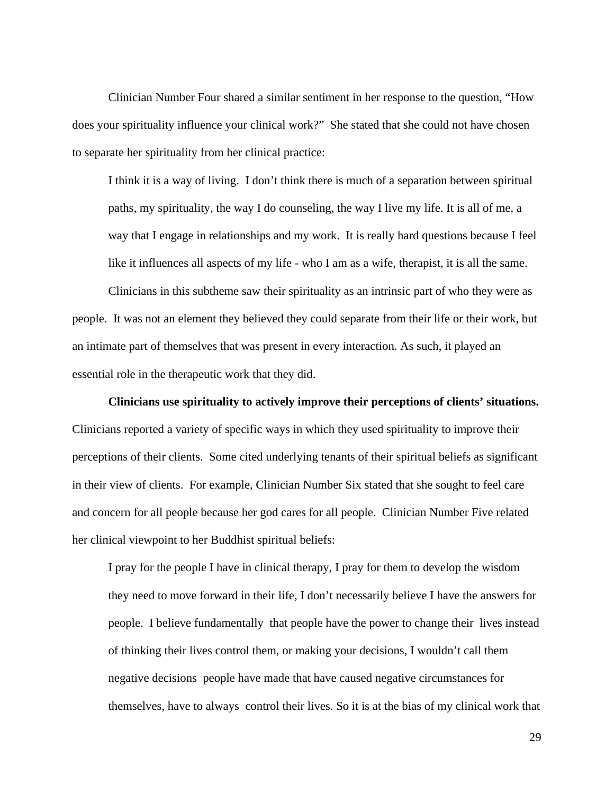Clinician Number Four shared a similar sentiment in her response to the question, "How does your spirituality influence your clinical work?" She stated that she could not have chosen to separate her spirituality from her clinical practice:

I think it is a way of living. I don't think there is much of a separation between spiritual paths, my spirituality, the way I do counseling, the way I live my life. It is all of me, a way that I engage in relationships and my work. It is really hard questions because I feel like it influences all aspects of my life - who I am as a wife, therapist, it is all the same.

Clinicians in this subtheme saw their spirituality as an intrinsic part of who they were as people. It was not an element they believed they could separate from their life or their work, but an intimate part of themselves that was present in every interaction. As such, it played an essential role in the therapeutic work that they did.

**Clinicians use spirituality to actively improve their perceptions of clients' situations.**  Clinicians reported a variety of specific ways in which they used spirituality to improve their perceptions of their clients. Some cited underlying tenants of their spiritual beliefs as significant in their view of clients. For example, Clinician Number Six stated that she sought to feel care and concern for all people because her god cares for all people. Clinician Number Five related her clinical viewpoint to her Buddhist spiritual beliefs:

I pray for the people I have in clinical therapy, I pray for them to develop the wisdom they need to move forward in their life, I don't necessarily believe I have the answers for people. I believe fundamentally that people have the power to change their lives instead of thinking their lives control them, or making your decisions, I wouldn't call them negative decisions people have made that have caused negative circumstances for themselves, have to always control their lives. So it is at the bias of my clinical work that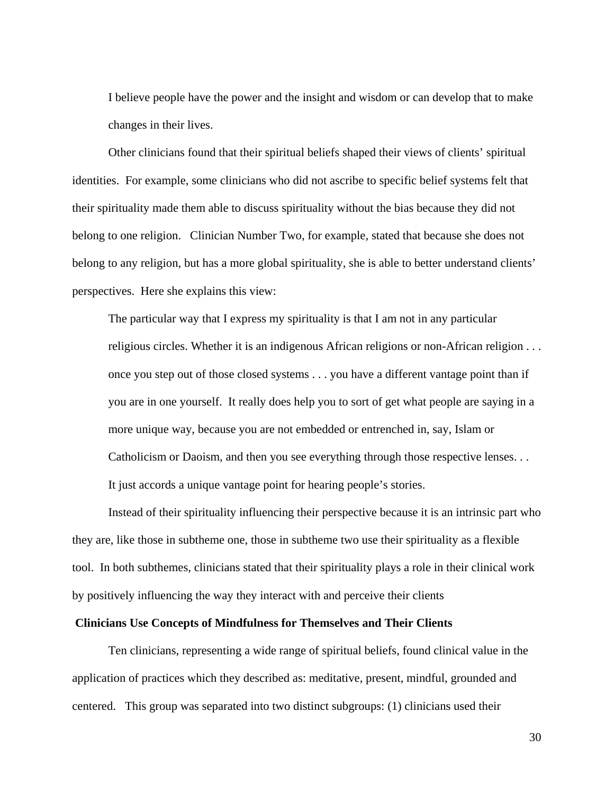I believe people have the power and the insight and wisdom or can develop that to make changes in their lives.

Other clinicians found that their spiritual beliefs shaped their views of clients' spiritual identities. For example, some clinicians who did not ascribe to specific belief systems felt that their spirituality made them able to discuss spirituality without the bias because they did not belong to one religion. Clinician Number Two, for example, stated that because she does not belong to any religion, but has a more global spirituality, she is able to better understand clients' perspectives. Here she explains this view:

The particular way that I express my spirituality is that I am not in any particular religious circles. Whether it is an indigenous African religions or non-African religion . . . once you step out of those closed systems . . . you have a different vantage point than if you are in one yourself. It really does help you to sort of get what people are saying in a more unique way, because you are not embedded or entrenched in, say, Islam or Catholicism or Daoism, and then you see everything through those respective lenses. . . It just accords a unique vantage point for hearing people's stories.

Instead of their spirituality influencing their perspective because it is an intrinsic part who they are, like those in subtheme one, those in subtheme two use their spirituality as a flexible tool. In both subthemes, clinicians stated that their spirituality plays a role in their clinical work by positively influencing the way they interact with and perceive their clients

## **Clinicians Use Concepts of Mindfulness for Themselves and Their Clients**

Ten clinicians, representing a wide range of spiritual beliefs, found clinical value in the application of practices which they described as: meditative, present, mindful, grounded and centered. This group was separated into two distinct subgroups: (1) clinicians used their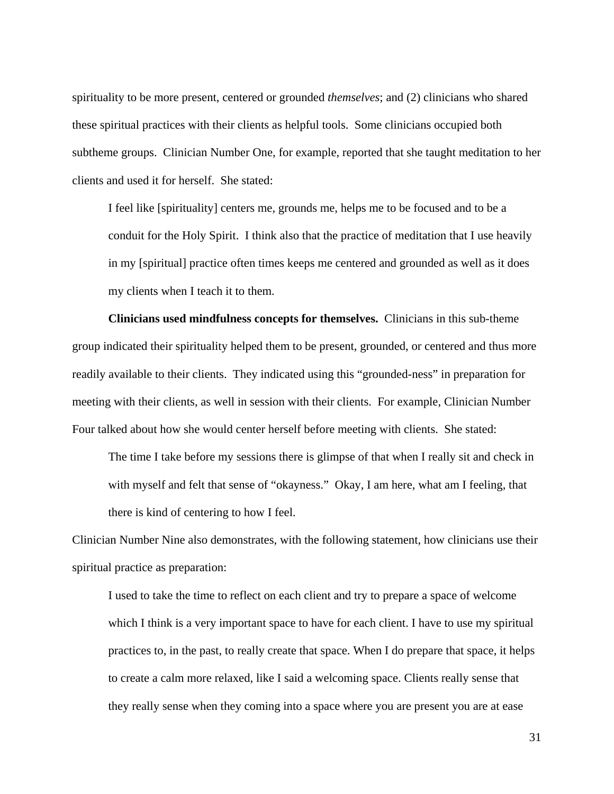spirituality to be more present, centered or grounded *themselves*; and (2) clinicians who shared these spiritual practices with their clients as helpful tools. Some clinicians occupied both subtheme groups. Clinician Number One, for example, reported that she taught meditation to her clients and used it for herself. She stated:

I feel like [spirituality] centers me, grounds me, helps me to be focused and to be a conduit for the Holy Spirit. I think also that the practice of meditation that I use heavily in my [spiritual] practice often times keeps me centered and grounded as well as it does my clients when I teach it to them.

**Clinicians used mindfulness concepts for themselves.** Clinicians in this sub-theme group indicated their spirituality helped them to be present, grounded, or centered and thus more readily available to their clients.They indicated using this "grounded-ness" in preparation for meeting with their clients, as well in session with their clients. For example, Clinician Number Four talked about how she would center herself before meeting with clients. She stated:

The time I take before my sessions there is glimpse of that when I really sit and check in with myself and felt that sense of "okayness." Okay, I am here, what am I feeling, that there is kind of centering to how I feel.

Clinician Number Nine also demonstrates, with the following statement, how clinicians use their spiritual practice as preparation:

I used to take the time to reflect on each client and try to prepare a space of welcome which I think is a very important space to have for each client. I have to use my spiritual practices to, in the past, to really create that space. When I do prepare that space, it helps to create a calm more relaxed, like I said a welcoming space. Clients really sense that they really sense when they coming into a space where you are present you are at ease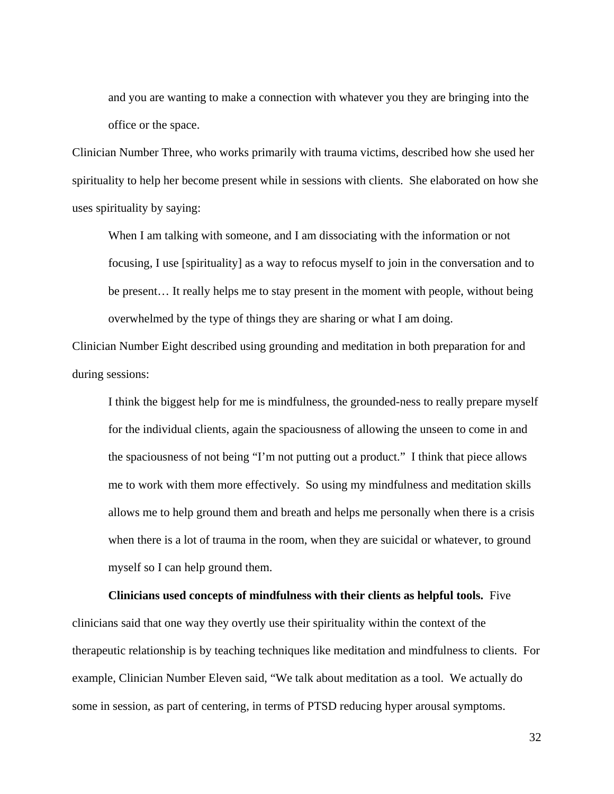and you are wanting to make a connection with whatever you they are bringing into the office or the space.

Clinician Number Three, who works primarily with trauma victims, described how she used her spirituality to help her become present while in sessions with clients. She elaborated on how she uses spirituality by saying:

When I am talking with someone, and I am dissociating with the information or not focusing, I use [spirituality] as a way to refocus myself to join in the conversation and to be present… It really helps me to stay present in the moment with people, without being overwhelmed by the type of things they are sharing or what I am doing.

Clinician Number Eight described using grounding and meditation in both preparation for and during sessions:

I think the biggest help for me is mindfulness, the grounded-ness to really prepare myself for the individual clients, again the spaciousness of allowing the unseen to come in and the spaciousness of not being "I'm not putting out a product." I think that piece allows me to work with them more effectively. So using my mindfulness and meditation skills allows me to help ground them and breath and helps me personally when there is a crisis when there is a lot of trauma in the room, when they are suicidal or whatever, to ground myself so I can help ground them.

**Clinicians used concepts of mindfulness with their clients as helpful tools.** Five clinicians said that one way they overtly use their spirituality within the context of the therapeutic relationship is by teaching techniques like meditation and mindfulness to clients. For example, Clinician Number Eleven said, "We talk about meditation as a tool. We actually do some in session, as part of centering, in terms of PTSD reducing hyper arousal symptoms.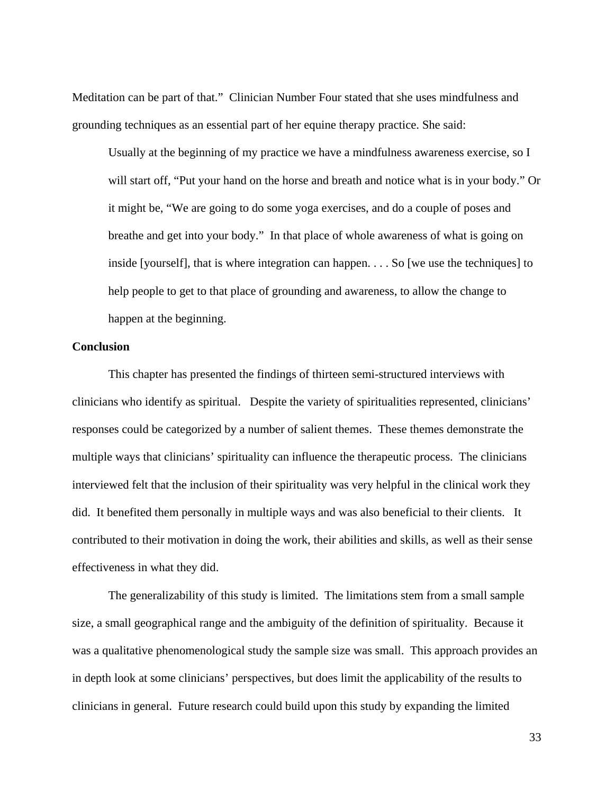Meditation can be part of that." Clinician Number Four stated that she uses mindfulness and grounding techniques as an essential part of her equine therapy practice. She said:

Usually at the beginning of my practice we have a mindfulness awareness exercise, so I will start off, "Put your hand on the horse and breath and notice what is in your body." Or it might be, "We are going to do some yoga exercises, and do a couple of poses and breathe and get into your body." In that place of whole awareness of what is going on inside [yourself], that is where integration can happen. . . . So [we use the techniques] to help people to get to that place of grounding and awareness, to allow the change to happen at the beginning.

## **Conclusion**

This chapter has presented the findings of thirteen semi-structured interviews with clinicians who identify as spiritual. Despite the variety of spiritualities represented, clinicians' responses could be categorized by a number of salient themes. These themes demonstrate the multiple ways that clinicians' spirituality can influence the therapeutic process. The clinicians interviewed felt that the inclusion of their spirituality was very helpful in the clinical work they did. It benefited them personally in multiple ways and was also beneficial to their clients. It contributed to their motivation in doing the work, their abilities and skills, as well as their sense effectiveness in what they did.

 The generalizability of this study is limited. The limitations stem from a small sample size, a small geographical range and the ambiguity of the definition of spirituality. Because it was a qualitative phenomenological study the sample size was small. This approach provides an in depth look at some clinicians' perspectives, but does limit the applicability of the results to clinicians in general. Future research could build upon this study by expanding the limited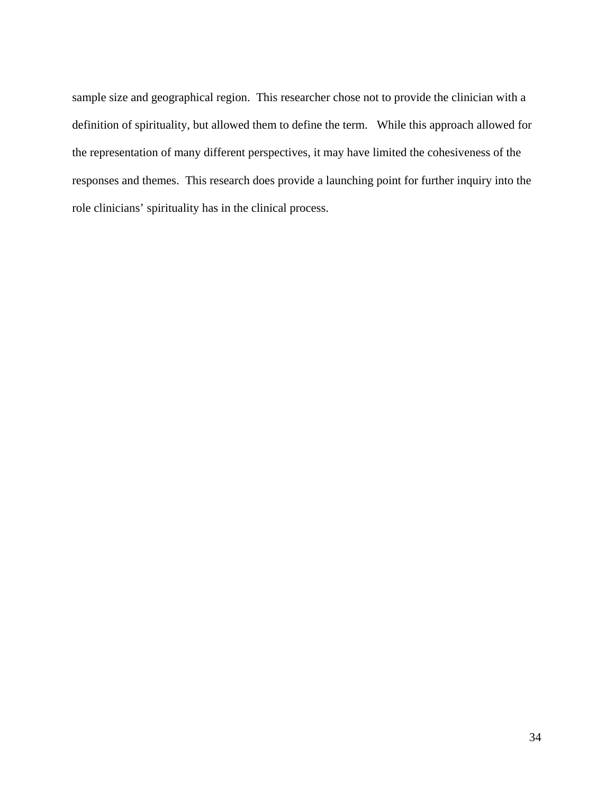sample size and geographical region. This researcher chose not to provide the clinician with a definition of spirituality, but allowed them to define the term. While this approach allowed for the representation of many different perspectives, it may have limited the cohesiveness of the responses and themes. This research does provide a launching point for further inquiry into the role clinicians' spirituality has in the clinical process.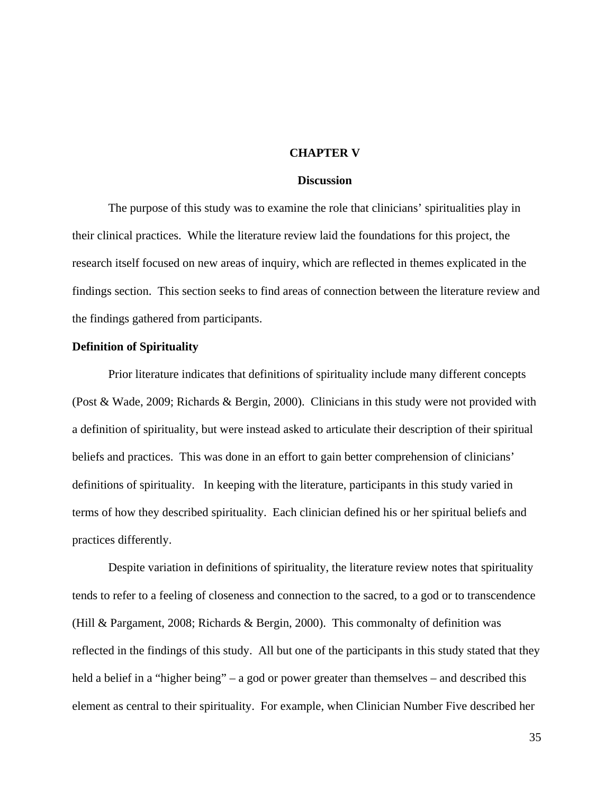## **CHAPTER V**

## **Discussion**

The purpose of this study was to examine the role that clinicians' spiritualities play in their clinical practices. While the literature review laid the foundations for this project, the research itself focused on new areas of inquiry, which are reflected in themes explicated in the findings section. This section seeks to find areas of connection between the literature review and the findings gathered from participants.

## **Definition of Spirituality**

Prior literature indicates that definitions of spirituality include many different concepts (Post & Wade, 2009; Richards & Bergin, 2000). Clinicians in this study were not provided with a definition of spirituality, but were instead asked to articulate their description of their spiritual beliefs and practices. This was done in an effort to gain better comprehension of clinicians' definitions of spirituality. In keeping with the literature, participants in this study varied in terms of how they described spirituality. Each clinician defined his or her spiritual beliefs and practices differently.

Despite variation in definitions of spirituality, the literature review notes that spirituality tends to refer to a feeling of closeness and connection to the sacred, to a god or to transcendence (Hill & Pargament, 2008; Richards & Bergin, 2000). This commonalty of definition was reflected in the findings of this study. All but one of the participants in this study stated that they held a belief in a "higher being" – a god or power greater than themselves – and described this element as central to their spirituality. For example, when Clinician Number Five described her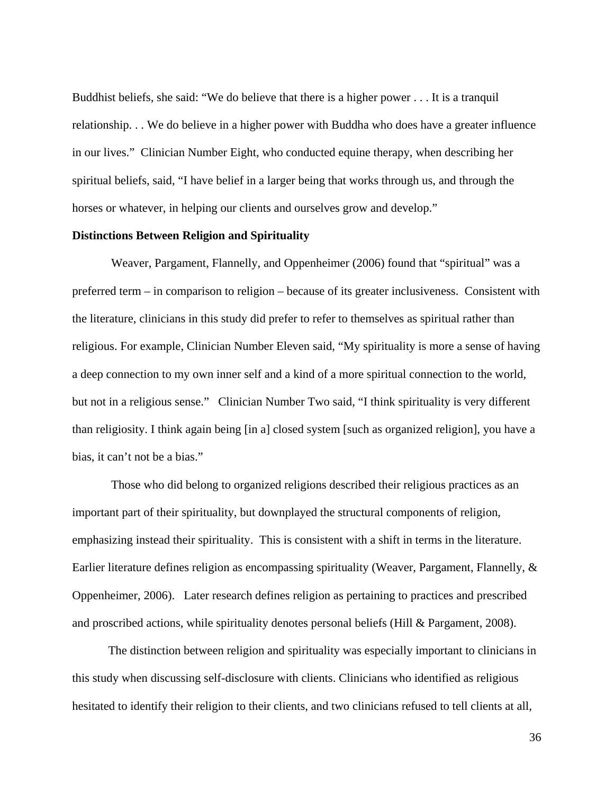Buddhist beliefs, she said: "We do believe that there is a higher power . . . It is a tranquil relationship. . . We do believe in a higher power with Buddha who does have a greater influence in our lives." Clinician Number Eight, who conducted equine therapy, when describing her spiritual beliefs, said, "I have belief in a larger being that works through us, and through the horses or whatever, in helping our clients and ourselves grow and develop."

## **Distinctions Between Religion and Spirituality**

 Weaver, Pargament, Flannelly, and Oppenheimer (2006) found that "spiritual" was a preferred term – in comparison to religion – because of its greater inclusiveness. Consistent with the literature, clinicians in this study did prefer to refer to themselves as spiritual rather than religious. For example, Clinician Number Eleven said, "My spirituality is more a sense of having a deep connection to my own inner self and a kind of a more spiritual connection to the world, but not in a religious sense." Clinician Number Two said, "I think spirituality is very different than religiosity. I think again being [in a] closed system [such as organized religion], you have a bias, it can't not be a bias."

 Those who did belong to organized religions described their religious practices as an important part of their spirituality, but downplayed the structural components of religion, emphasizing instead their spirituality. This is consistent with a shift in terms in the literature. Earlier literature defines religion as encompassing spirituality (Weaver, Pargament, Flannelly, & Oppenheimer, 2006). Later research defines religion as pertaining to practices and prescribed and proscribed actions, while spirituality denotes personal beliefs (Hill & Pargament, 2008).

The distinction between religion and spirituality was especially important to clinicians in this study when discussing self-disclosure with clients. Clinicians who identified as religious hesitated to identify their religion to their clients, and two clinicians refused to tell clients at all,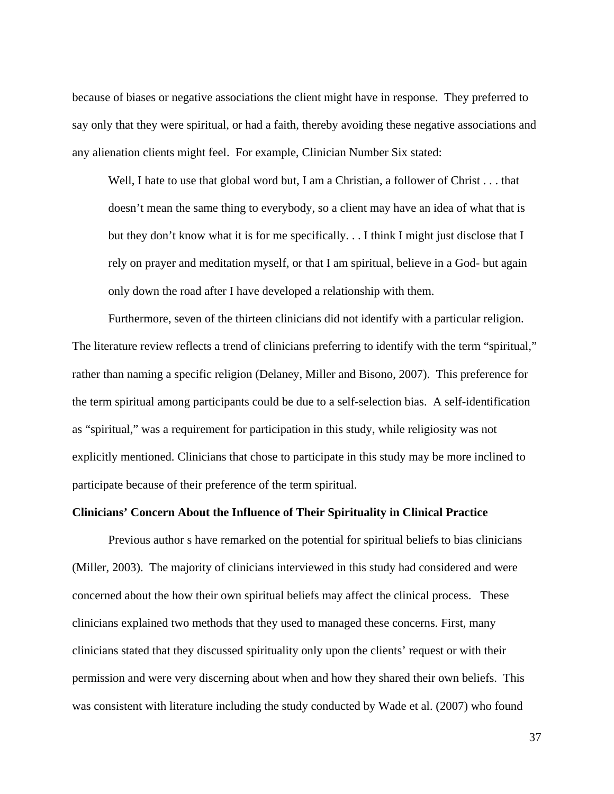because of biases or negative associations the client might have in response. They preferred to say only that they were spiritual, or had a faith, thereby avoiding these negative associations and any alienation clients might feel. For example, Clinician Number Six stated:

Well, I hate to use that global word but, I am a Christian, a follower of Christ . . . that doesn't mean the same thing to everybody, so a client may have an idea of what that is but they don't know what it is for me specifically. . . I think I might just disclose that I rely on prayer and meditation myself, or that I am spiritual, believe in a God- but again only down the road after I have developed a relationship with them.

Furthermore, seven of the thirteen clinicians did not identify with a particular religion. The literature review reflects a trend of clinicians preferring to identify with the term "spiritual," rather than naming a specific religion (Delaney, Miller and Bisono, 2007). This preference for the term spiritual among participants could be due to a self-selection bias. A self-identification as "spiritual," was a requirement for participation in this study, while religiosity was not explicitly mentioned. Clinicians that chose to participate in this study may be more inclined to participate because of their preference of the term spiritual.

## **Clinicians' Concern About the Influence of Their Spirituality in Clinical Practice**

Previous author s have remarked on the potential for spiritual beliefs to bias clinicians (Miller, 2003).The majority of clinicians interviewed in this study had considered and were concerned about the how their own spiritual beliefs may affect the clinical process. These clinicians explained two methods that they used to managed these concerns. First, many clinicians stated that they discussed spirituality only upon the clients' request or with their permission and were very discerning about when and how they shared their own beliefs. This was consistent with literature including the study conducted by Wade et al. (2007) who found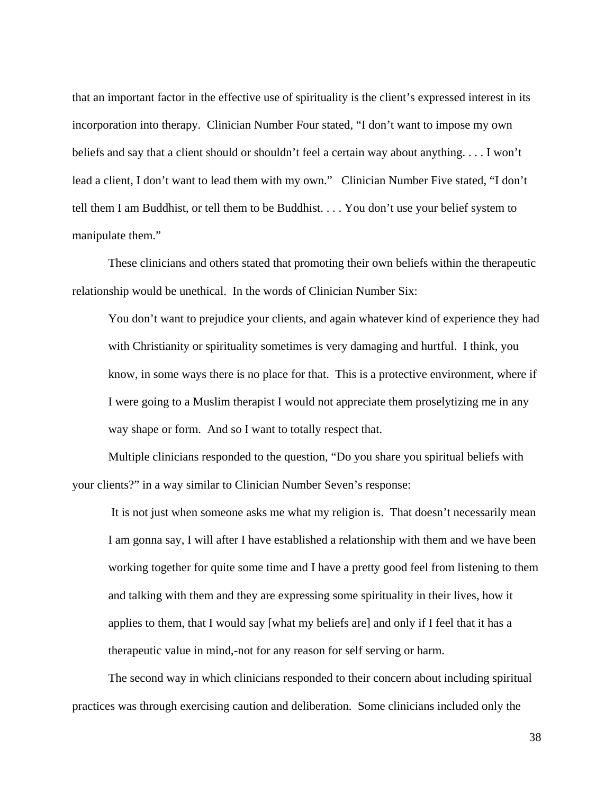that an important factor in the effective use of spirituality is the client's expressed interest in its incorporation into therapy. Clinician Number Four stated, "I don't want to impose my own beliefs and say that a client should or shouldn't feel a certain way about anything. . . . I won't lead a client, I don't want to lead them with my own." Clinician Number Five stated, "I don't tell them I am Buddhist, or tell them to be Buddhist. . . . You don't use your belief system to manipulate them."

These clinicians and others stated that promoting their own beliefs within the therapeutic relationship would be unethical. In the words of Clinician Number Six:

You don't want to prejudice your clients, and again whatever kind of experience they had with Christianity or spirituality sometimes is very damaging and hurtful. I think, you know, in some ways there is no place for that. This is a protective environment, where if I were going to a Muslim therapist I would not appreciate them proselytizing me in any way shape or form. And so I want to totally respect that.

Multiple clinicians responded to the question, "Do you share you spiritual beliefs with your clients?" in a way similar to Clinician Number Seven's response:

 It is not just when someone asks me what my religion is. That doesn't necessarily mean I am gonna say, I will after I have established a relationship with them and we have been working together for quite some time and I have a pretty good feel from listening to them and talking with them and they are expressing some spirituality in their lives, how it applies to them, that I would say [what my beliefs are] and only if I feel that it has a therapeutic value in mind,-not for any reason for self serving or harm.

The second way in which clinicians responded to their concern about including spiritual practices was through exercising caution and deliberation. Some clinicians included only the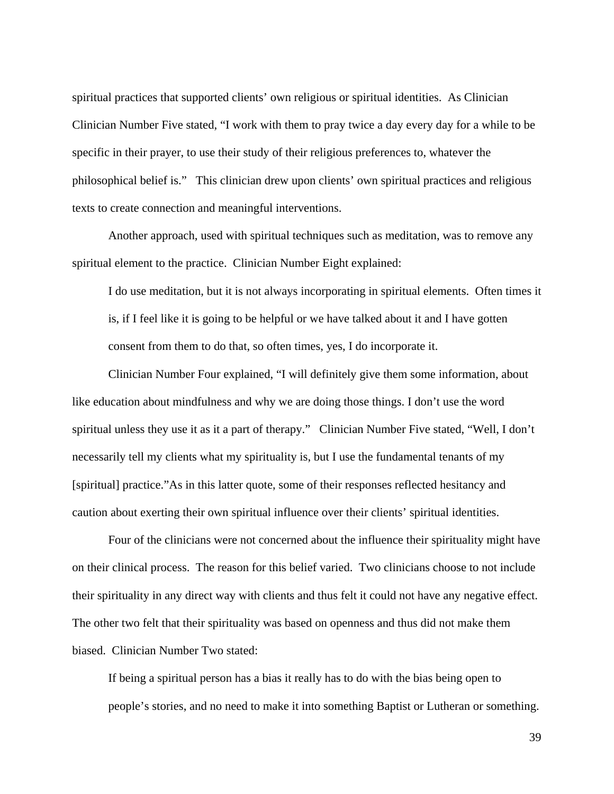spiritual practices that supported clients' own religious or spiritual identities. As Clinician Clinician Number Five stated, "I work with them to pray twice a day every day for a while to be specific in their prayer, to use their study of their religious preferences to, whatever the philosophical belief is." This clinician drew upon clients' own spiritual practices and religious texts to create connection and meaningful interventions.

Another approach, used with spiritual techniques such as meditation, was to remove any spiritual element to the practice. Clinician Number Eight explained:

I do use meditation, but it is not always incorporating in spiritual elements. Often times it is, if I feel like it is going to be helpful or we have talked about it and I have gotten consent from them to do that, so often times, yes, I do incorporate it.

Clinician Number Four explained, "I will definitely give them some information, about like education about mindfulness and why we are doing those things. I don't use the word spiritual unless they use it as it a part of therapy." Clinician Number Five stated, "Well, I don't necessarily tell my clients what my spirituality is, but I use the fundamental tenants of my [spiritual] practice."As in this latter quote, some of their responses reflected hesitancy and caution about exerting their own spiritual influence over their clients' spiritual identities.

Four of the clinicians were not concerned about the influence their spirituality might have on their clinical process. The reason for this belief varied. Two clinicians choose to not include their spirituality in any direct way with clients and thus felt it could not have any negative effect. The other two felt that their spirituality was based on openness and thus did not make them biased. Clinician Number Two stated:

If being a spiritual person has a bias it really has to do with the bias being open to people's stories, and no need to make it into something Baptist or Lutheran or something.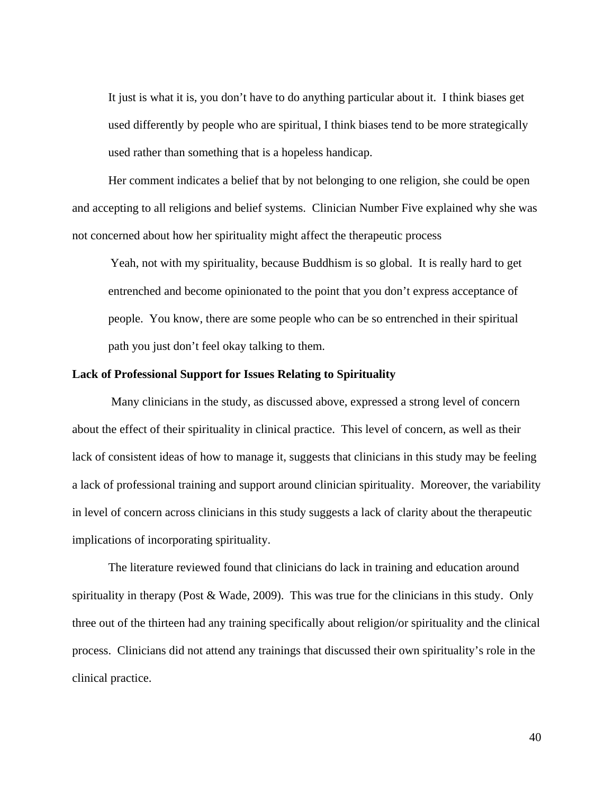It just is what it is, you don't have to do anything particular about it. I think biases get used differently by people who are spiritual, I think biases tend to be more strategically used rather than something that is a hopeless handicap.

Her comment indicates a belief that by not belonging to one religion, she could be open and accepting to all religions and belief systems. Clinician Number Five explained why she was not concerned about how her spirituality might affect the therapeutic process

Yeah, not with my spirituality, because Buddhism is so global. It is really hard to get entrenched and become opinionated to the point that you don't express acceptance of people. You know, there are some people who can be so entrenched in their spiritual path you just don't feel okay talking to them.

## **Lack of Professional Support for Issues Relating to Spirituality**

 Many clinicians in the study, as discussed above, expressed a strong level of concern about the effect of their spirituality in clinical practice. This level of concern, as well as their lack of consistent ideas of how to manage it, suggests that clinicians in this study may be feeling a lack of professional training and support around clinician spirituality. Moreover, the variability in level of concern across clinicians in this study suggests a lack of clarity about the therapeutic implications of incorporating spirituality.

The literature reviewed found that clinicians do lack in training and education around spirituality in therapy (Post & Wade, 2009). This was true for the clinicians in this study. Only three out of the thirteen had any training specifically about religion/or spirituality and the clinical process. Clinicians did not attend any trainings that discussed their own spirituality's role in the clinical practice.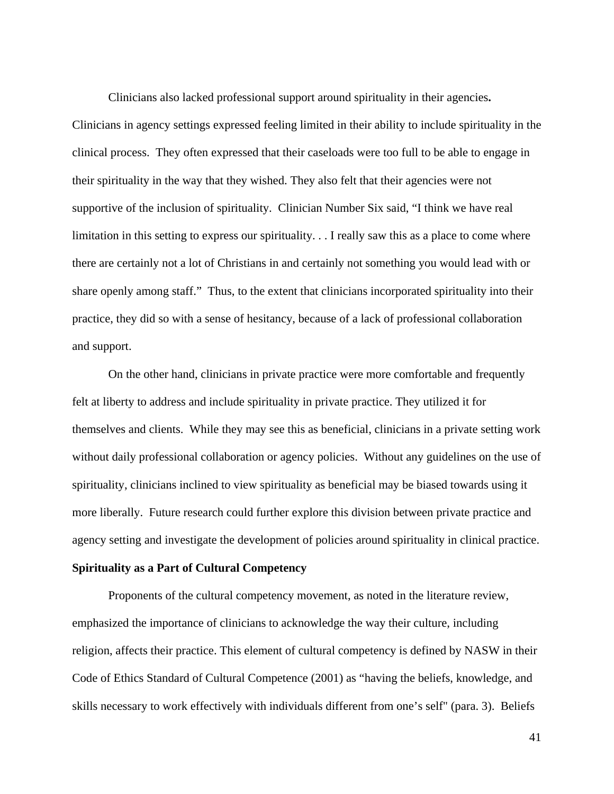Clinicians also lacked professional support around spirituality in their agencies**.**  Clinicians in agency settings expressed feeling limited in their ability to include spirituality in the clinical process. They often expressed that their caseloads were too full to be able to engage in their spirituality in the way that they wished. They also felt that their agencies were not supportive of the inclusion of spirituality. Clinician Number Six said, "I think we have real limitation in this setting to express our spirituality. . . I really saw this as a place to come where there are certainly not a lot of Christians in and certainly not something you would lead with or share openly among staff." Thus, to the extent that clinicians incorporated spirituality into their practice, they did so with a sense of hesitancy, because of a lack of professional collaboration and support.

On the other hand, clinicians in private practice were more comfortable and frequently felt at liberty to address and include spirituality in private practice. They utilized it for themselves and clients. While they may see this as beneficial, clinicians in a private setting work without daily professional collaboration or agency policies. Without any guidelines on the use of spirituality, clinicians inclined to view spirituality as beneficial may be biased towards using it more liberally. Future research could further explore this division between private practice and agency setting and investigate the development of policies around spirituality in clinical practice.

## **Spirituality as a Part of Cultural Competency**

Proponents of the cultural competency movement, as noted in the literature review, emphasized the importance of clinicians to acknowledge the way their culture, including religion, affects their practice. This element of cultural competency is defined by NASW in their Code of Ethics Standard of Cultural Competence (2001) as "having the beliefs, knowledge, and skills necessary to work effectively with individuals different from one's self" (para. 3). Beliefs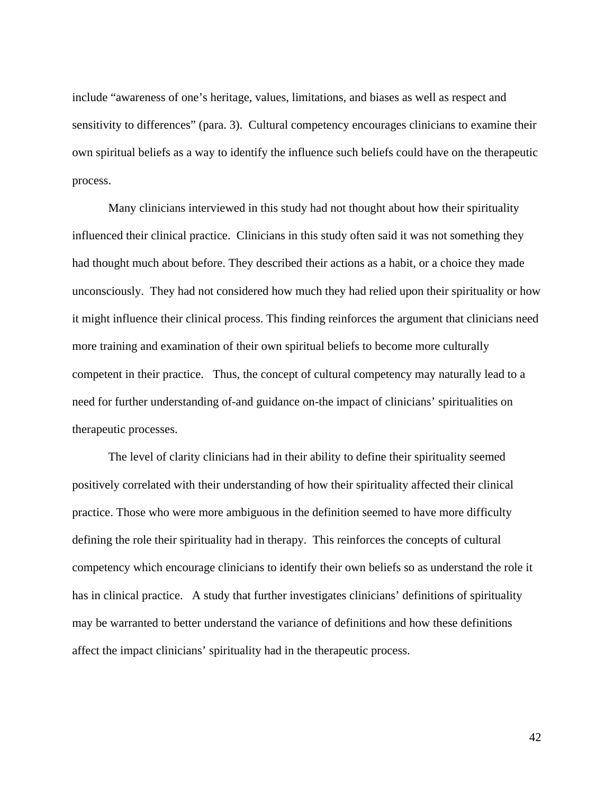include "awareness of one's heritage, values, limitations, and biases as well as respect and sensitivity to differences" (para. 3). Cultural competency encourages clinicians to examine their own spiritual beliefs as a way to identify the influence such beliefs could have on the therapeutic process.

Many clinicians interviewed in this study had not thought about how their spirituality influenced their clinical practice. Clinicians in this study often said it was not something they had thought much about before. They described their actions as a habit, or a choice they made unconsciously. They had not considered how much they had relied upon their spirituality or how it might influence their clinical process. This finding reinforces the argument that clinicians need more training and examination of their own spiritual beliefs to become more culturally competent in their practice. Thus, the concept of cultural competency may naturally lead to a need for further understanding of-and guidance on-the impact of clinicians' spiritualities on therapeutic processes.

The level of clarity clinicians had in their ability to define their spirituality seemed positively correlated with their understanding of how their spirituality affected their clinical practice. Those who were more ambiguous in the definition seemed to have more difficulty defining the role their spirituality had in therapy. This reinforces the concepts of cultural competency which encourage clinicians to identify their own beliefs so as understand the role it has in clinical practice. A study that further investigates clinicians' definitions of spirituality may be warranted to better understand the variance of definitions and how these definitions affect the impact clinicians' spirituality had in the therapeutic process.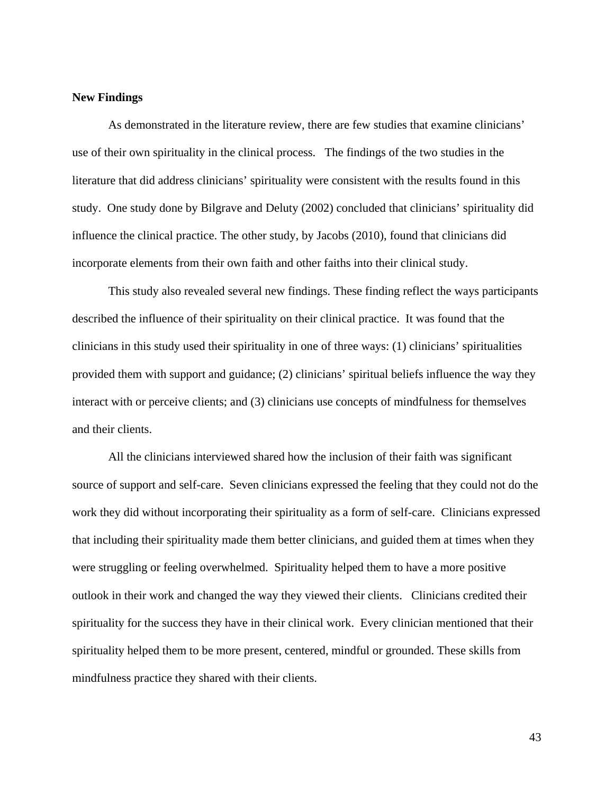## **New Findings**

As demonstrated in the literature review, there are few studies that examine clinicians' use of their own spirituality in the clinical process. The findings of the two studies in the literature that did address clinicians' spirituality were consistent with the results found in this study. One study done by Bilgrave and Deluty (2002) concluded that clinicians' spirituality did influence the clinical practice. The other study, by Jacobs (2010), found that clinicians did incorporate elements from their own faith and other faiths into their clinical study.

This study also revealed several new findings. These finding reflect the ways participants described the influence of their spirituality on their clinical practice. It was found that the clinicians in this study used their spirituality in one of three ways: (1) clinicians' spiritualities provided them with support and guidance; (2) clinicians' spiritual beliefs influence the way they interact with or perceive clients; and (3) clinicians use concepts of mindfulness for themselves and their clients.

All the clinicians interviewed shared how the inclusion of their faith was significant source of support and self-care. Seven clinicians expressed the feeling that they could not do the work they did without incorporating their spirituality as a form of self-care. Clinicians expressed that including their spirituality made them better clinicians, and guided them at times when they were struggling or feeling overwhelmed. Spirituality helped them to have a more positive outlook in their work and changed the way they viewed their clients. Clinicians credited their spirituality for the success they have in their clinical work. Every clinician mentioned that their spirituality helped them to be more present, centered, mindful or grounded. These skills from mindfulness practice they shared with their clients.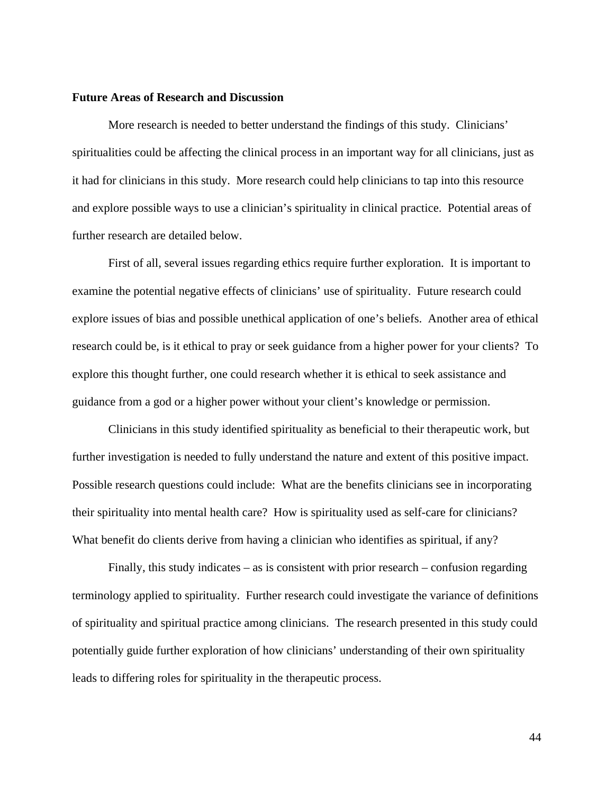## **Future Areas of Research and Discussion**

More research is needed to better understand the findings of this study. Clinicians' spiritualities could be affecting the clinical process in an important way for all clinicians, just as it had for clinicians in this study. More research could help clinicians to tap into this resource and explore possible ways to use a clinician's spirituality in clinical practice. Potential areas of further research are detailed below.

First of all, several issues regarding ethics require further exploration. It is important to examine the potential negative effects of clinicians' use of spirituality. Future research could explore issues of bias and possible unethical application of one's beliefs. Another area of ethical research could be, is it ethical to pray or seek guidance from a higher power for your clients? To explore this thought further, one could research whether it is ethical to seek assistance and guidance from a god or a higher power without your client's knowledge or permission.

Clinicians in this study identified spirituality as beneficial to their therapeutic work, but further investigation is needed to fully understand the nature and extent of this positive impact. Possible research questions could include: What are the benefits clinicians see in incorporating their spirituality into mental health care? How is spirituality used as self-care for clinicians? What benefit do clients derive from having a clinician who identifies as spiritual, if any?

Finally, this study indicates – as is consistent with prior research – confusion regarding terminology applied to spirituality. Further research could investigate the variance of definitions of spirituality and spiritual practice among clinicians. The research presented in this study could potentially guide further exploration of how clinicians' understanding of their own spirituality leads to differing roles for spirituality in the therapeutic process.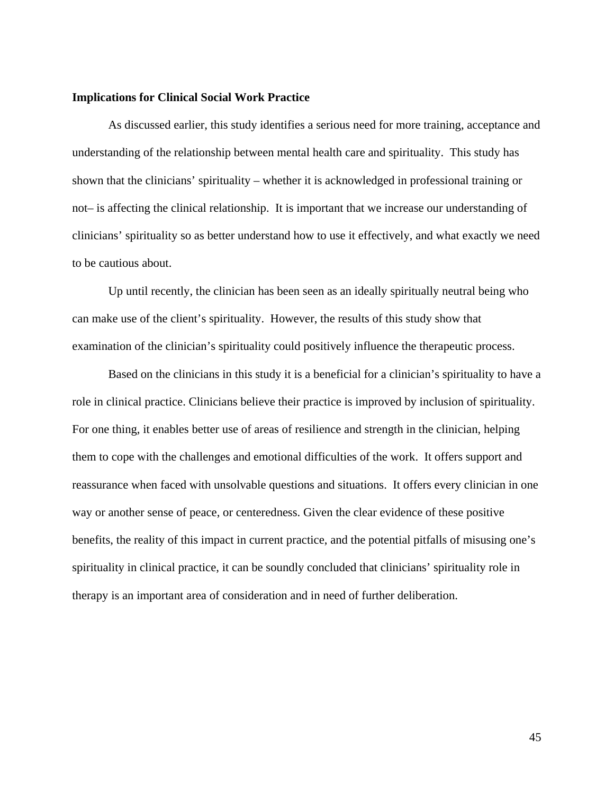## **Implications for Clinical Social Work Practice**

As discussed earlier, this study identifies a serious need for more training, acceptance and understanding of the relationship between mental health care and spirituality. This study has shown that the clinicians' spirituality – whether it is acknowledged in professional training or not– is affecting the clinical relationship. It is important that we increase our understanding of clinicians' spirituality so as better understand how to use it effectively, and what exactly we need to be cautious about.

Up until recently, the clinician has been seen as an ideally spiritually neutral being who can make use of the client's spirituality. However, the results of this study show that examination of the clinician's spirituality could positively influence the therapeutic process.

Based on the clinicians in this study it is a beneficial for a clinician's spirituality to have a role in clinical practice. Clinicians believe their practice is improved by inclusion of spirituality. For one thing, it enables better use of areas of resilience and strength in the clinician, helping them to cope with the challenges and emotional difficulties of the work. It offers support and reassurance when faced with unsolvable questions and situations. It offers every clinician in one way or another sense of peace, or centeredness. Given the clear evidence of these positive benefits, the reality of this impact in current practice, and the potential pitfalls of misusing one's spirituality in clinical practice, it can be soundly concluded that clinicians' spirituality role in therapy is an important area of consideration and in need of further deliberation.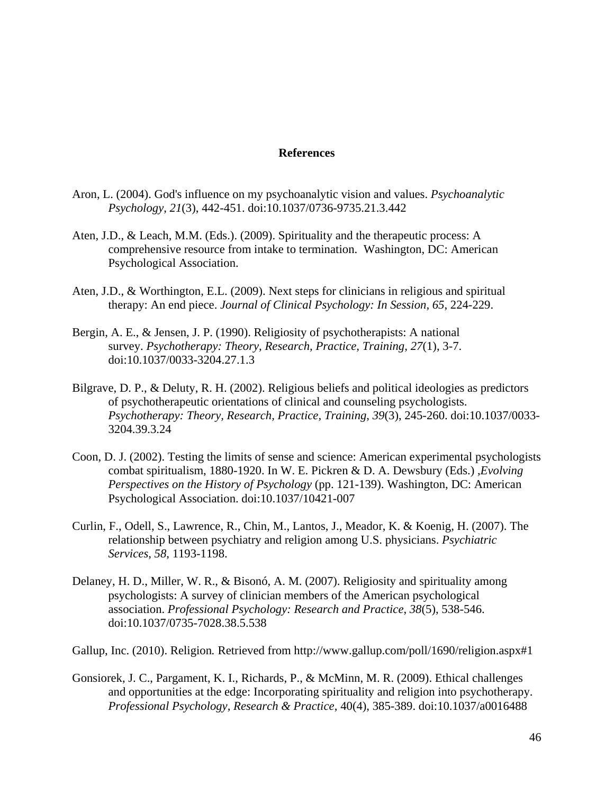## **References**

- Aron, L. (2004). God's influence on my psychoanalytic vision and values. *Psychoanalytic Psychology*, *21*(3), 442-451. doi:10.1037/0736-9735.21.3.442
- Aten, J.D., & Leach, M.M. (Eds.). (2009). Spirituality and the therapeutic process: A comprehensive resource from intake to termination. Washington, DC: American Psychological Association.
- Aten, J.D., & Worthington, E.L. (2009). Next steps for clinicians in religious and spiritual therapy: An end piece. *Journal of Clinical Psychology: In Session, 65*, 224-229.
- Bergin, A. E., & Jensen, J. P. (1990). Religiosity of psychotherapists: A national survey. *Psychotherapy: Theory, Research, Practice, Training*, *27*(1), 3-7. doi:10.1037/0033-3204.27.1.3
- Bilgrave, D. P., & Deluty, R. H. (2002). Religious beliefs and political ideologies as predictors of psychotherapeutic orientations of clinical and counseling psychologists. *Psychotherapy: Theory, Research, Practice, Training*, *39*(3), 245-260. doi:10.1037/0033- 3204.39.3.24
- Coon, D. J. (2002). Testing the limits of sense and science: American experimental psychologists combat spiritualism, 1880-1920. In W. E. Pickren & D. A. Dewsbury (Eds.) ,*Evolving Perspectives on the History of Psychology* (pp. 121-139). Washington, DC: American Psychological Association. doi:10.1037/10421-007
- Curlin, F., Odell, S., Lawrence, R., Chin, M., Lantos, J., Meador, K. & Koenig, H. (2007). The relationship between psychiatry and religion among U.S. physicians. *Psychiatric Services*, *58*, 1193-1198.
- Delaney, H. D., Miller, W. R., & Bisonó, A. M. (2007). Religiosity and spirituality among psychologists: A survey of clinician members of the American psychological association. *Professional Psychology: Research and Practice*, *38*(5), 538-546. doi:10.1037/0735-7028.38.5.538

Gallup, Inc. (2010). Religion*.* Retrieved from http://www.gallup.com/poll/1690/religion.aspx#1

Gonsiorek, J. C., Pargament, K. I., Richards, P., & McMinn, M. R. (2009). Ethical challenges and opportunities at the edge: Incorporating spirituality and religion into psychotherapy. *Professional Psychology, Research & Practice*, 40(4), 385-389. doi:10.1037/a0016488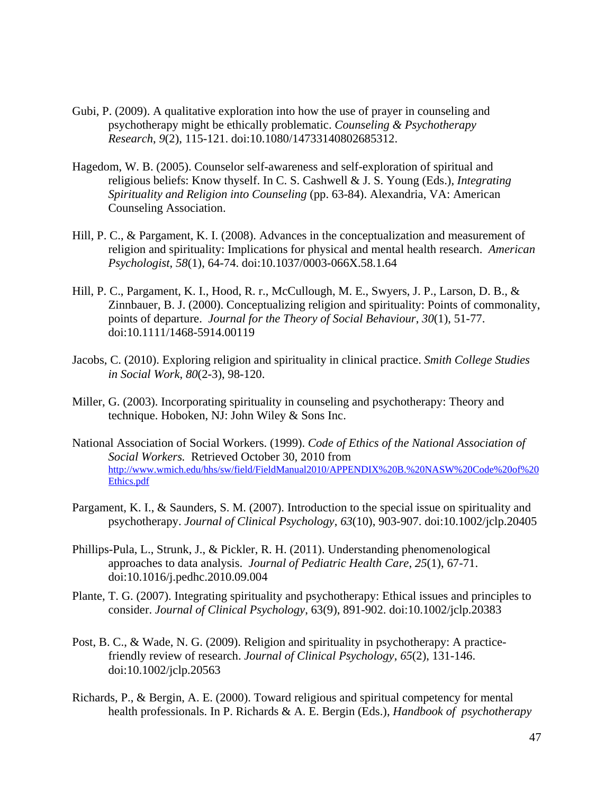- Gubi, P. (2009). A qualitative exploration into how the use of prayer in counseling and psychotherapy might be ethically problematic. *Counseling & Psychotherapy Research*, *9*(2), 115-121. doi:10.1080/14733140802685312.
- Hagedom, W. B. (2005). Counselor self-awareness and self-exploration of spiritual and religious beliefs: Know thyself. In C. S. Cashwell & J. S. Young (Eds.), *Integrating Spirituality and Religion into Counseling* (pp. 63-84). Alexandria, VA: American Counseling Association.
- Hill, P. C., & Pargament, K. I. (2008). Advances in the conceptualization and measurement of religion and spirituality: Implications for physical and mental health research. *American Psychologist*, *58*(1), 64-74. doi:10.1037/0003-066X.58.1.64
- Hill, P. C., Pargament, K. I., Hood, R. r., McCullough, M. E., Swyers, J. P., Larson, D. B., & Zinnbauer, B. J. (2000). Conceptualizing religion and spirituality: Points of commonality, points of departure. *Journal for the Theory of Social Behaviour*, *30*(1), 51-77. doi:10.1111/1468-5914.00119
- Jacobs, C. (2010). Exploring religion and spirituality in clinical practice. *Smith College Studies in Social Work*, *80*(2-3), 98-120.
- Miller, G. (2003). Incorporating spirituality in counseling and psychotherapy: Theory and technique. Hoboken, NJ: John Wiley & Sons Inc.
- National Association of Social Workers. (1999). *Code of Ethics of the National Association of Social Workers.* Retrieved October 30, 2010 from http://www.wmich.edu/hhs/sw/field/FieldManual2010/APPENDIX%20B.%20NASW%20Code%20of%20 Ethics.pdf
- Pargament, K. I., & Saunders, S. M. (2007). Introduction to the special issue on spirituality and psychotherapy. *Journal of Clinical Psychology*, *63*(10), 903-907. doi:10.1002/jclp.20405
- Phillips-Pula, L., Strunk, J., & Pickler, R. H. (2011). Understanding phenomenological approaches to data analysis. *Journal of Pediatric Health Care*, *25*(1), 67-71. doi:10.1016/j.pedhc.2010.09.004
- Plante, T. G. (2007). Integrating spirituality and psychotherapy: Ethical issues and principles to consider. *Journal of Clinical Psychology*, 63(9), 891-902. doi:10.1002/jclp.20383
- Post, B. C., & Wade, N. G. (2009). Religion and spirituality in psychotherapy: A practice friendly review of research. *Journal of Clinical Psychology*, *65*(2), 131-146. doi:10.1002/jclp.20563
- Richards, P., & Bergin, A. E. (2000). Toward religious and spiritual competency for mental health professionals. In P. Richards & A. E. Bergin (Eds.), *Handbook of psychotherapy*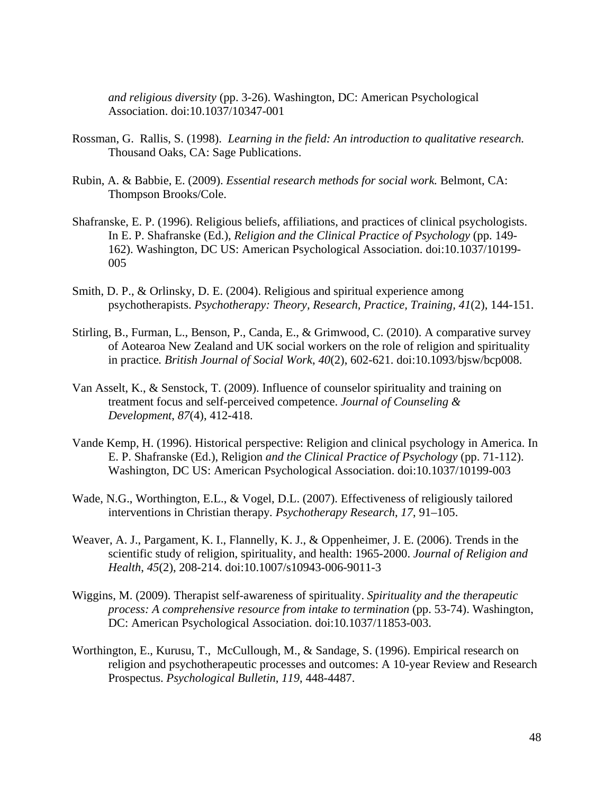*and religious diversity* (pp. 3-26). Washington, DC: American Psychological Association. doi:10.1037/10347-001

- Rossman, G. Rallis, S. (1998). *Learning in the field: An introduction to qualitative research.* Thousand Oaks, CA: Sage Publications.
- Rubin, A. & Babbie, E. (2009). *Essential research methods for social work.* Belmont, CA: Thompson Brooks/Cole.
- Shafranske, E. P. (1996). Religious beliefs, affiliations, and practices of clinical psychologists. In E. P. Shafranske (Ed.), *Religion and the Clinical Practice of Psychology* (pp. 149- 162). Washington, DC US: American Psychological Association. doi:10.1037/10199- 005
- Smith, D. P., & Orlinsky, D. E. (2004). Religious and spiritual experience among psychotherapists. *Psychotherapy: Theory, Research, Practice, Training, 41*(2), 144-151.
- Stirling, B., Furman, L., Benson, P., Canda, E., & Grimwood, C. (2010). A comparative survey of Aotearoa New Zealand and UK social workers on the role of religion and spirituality in practice*. British Journal of Social Work*, *40*(2), 602-621. doi:10.1093/bjsw/bcp008.
- Van Asselt, K., & Senstock, T. (2009). Influence of counselor spirituality and training on treatment focus and self-perceived competence. *Journal of Counseling & Development*, *87*(4), 412-418.
- Vande Kemp, H. (1996). Historical perspective: Religion and clinical psychology in America. In E. P. Shafranske (Ed.), Religion *and the Clinical Practice of Psychology* (pp. 71-112). Washington, DC US: American Psychological Association. doi:10.1037/10199-003
- Wade, N.G., Worthington, E.L., & Vogel, D.L. (2007). Effectiveness of religiously tailored interventions in Christian therapy*. Psychotherapy Research*, *17*, 91–105.
- Weaver, A. J., Pargament, K. I., Flannelly, K. J., & Oppenheimer, J. E. (2006). Trends in the scientific study of religion, spirituality, and health: 1965-2000. *Journal of Religion and Health*, *45*(2), 208-214. doi:10.1007/s10943-006-9011-3
- Wiggins, M. (2009). Therapist self-awareness of spirituality. *Spirituality and the therapeutic process: A comprehensive resource from intake to termination* (pp. 53-74). Washington, DC: American Psychological Association. doi:10.1037/11853-003.
- Worthington, E., Kurusu, T., McCullough, M., & Sandage, S. (1996). Empirical research on religion and psychotherapeutic processes and outcomes: A 10-year Review and Research Prospectus. *Psychological Bulletin*, *119*, 448-4487.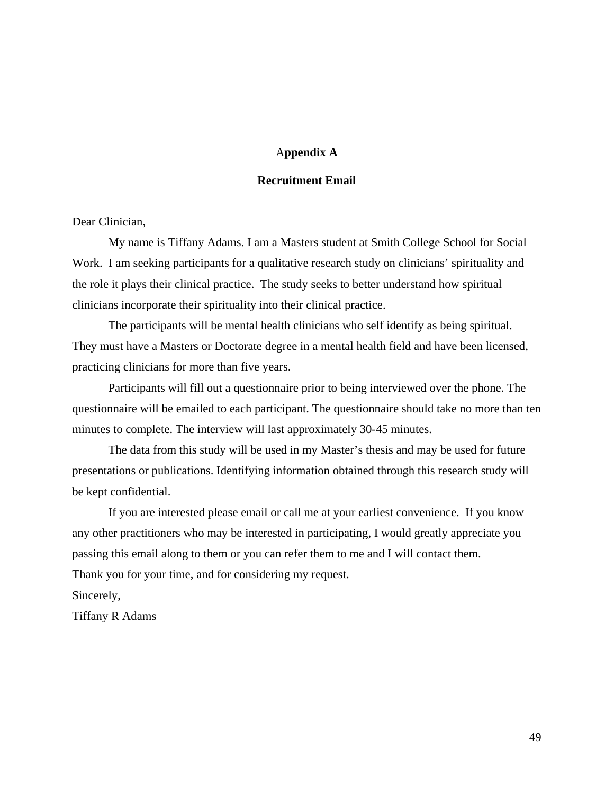## A**ppendix A**

## **Recruitment Email**

Dear Clinician,

My name is Tiffany Adams. I am a Masters student at Smith College School for Social Work. I am seeking participants for a qualitative research study on clinicians' spirituality and the role it plays their clinical practice. The study seeks to better understand how spiritual clinicians incorporate their spirituality into their clinical practice.

The participants will be mental health clinicians who self identify as being spiritual. They must have a Masters or Doctorate degree in a mental health field and have been licensed, practicing clinicians for more than five years.

Participants will fill out a questionnaire prior to being interviewed over the phone. The questionnaire will be emailed to each participant. The questionnaire should take no more than ten minutes to complete. The interview will last approximately 30-45 minutes.

The data from this study will be used in my Master's thesis and may be used for future presentations or publications. Identifying information obtained through this research study will be kept confidential.

If you are interested please email or call me at your earliest convenience. If you know any other practitioners who may be interested in participating, I would greatly appreciate you passing this email along to them or you can refer them to me and I will contact them. Thank you for your time, and for considering my request.

Sincerely,

Tiffany R Adams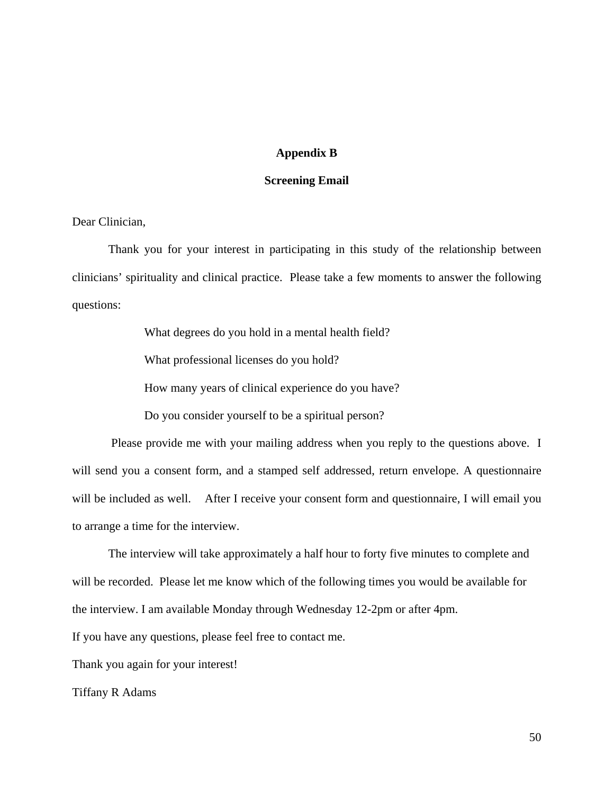## **Appendix B**

## **Screening Email**

Dear Clinician,

Thank you for your interest in participating in this study of the relationship between clinicians' spirituality and clinical practice. Please take a few moments to answer the following questions:

> What degrees do you hold in a mental health field? What professional licenses do you hold? How many years of clinical experience do you have? Do you consider yourself to be a spiritual person?

 Please provide me with your mailing address when you reply to the questions above. I will send you a consent form, and a stamped self addressed, return envelope. A questionnaire will be included as well. After I receive your consent form and questionnaire, I will email you to arrange a time for the interview.

The interview will take approximately a half hour to forty five minutes to complete and will be recorded. Please let me know which of the following times you would be available for the interview. I am available Monday through Wednesday 12-2pm or after 4pm.

If you have any questions, please feel free to contact me.

Thank you again for your interest!

Tiffany R Adams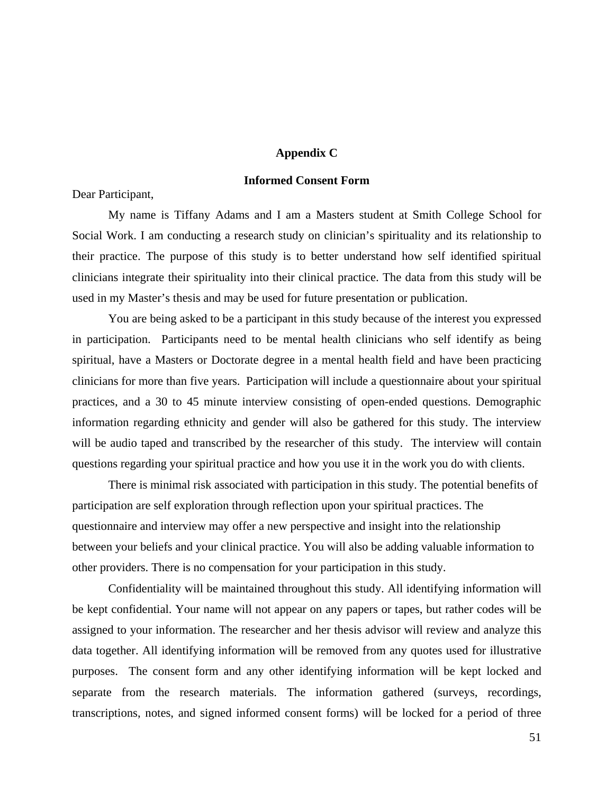## **Appendix C**

## **Informed Consent Form**

Dear Participant,

 My name is Tiffany Adams and I am a Masters student at Smith College School for Social Work. I am conducting a research study on clinician's spirituality and its relationship to their practice. The purpose of this study is to better understand how self identified spiritual clinicians integrate their spirituality into their clinical practice. The data from this study will be used in my Master's thesis and may be used for future presentation or publication.

 You are being asked to be a participant in this study because of the interest you expressed in participation. Participants need to be mental health clinicians who self identify as being spiritual, have a Masters or Doctorate degree in a mental health field and have been practicing clinicians for more than five years. Participation will include a questionnaire about your spiritual practices, and a 30 to 45 minute interview consisting of open-ended questions. Demographic information regarding ethnicity and gender will also be gathered for this study. The interview will be audio taped and transcribed by the researcher of this study. The interview will contain questions regarding your spiritual practice and how you use it in the work you do with clients.

There is minimal risk associated with participation in this study. The potential benefits of participation are self exploration through reflection upon your spiritual practices. The questionnaire and interview may offer a new perspective and insight into the relationship between your beliefs and your clinical practice. You will also be adding valuable information to other providers. There is no compensation for your participation in this study.

 Confidentiality will be maintained throughout this study. All identifying information will be kept confidential. Your name will not appear on any papers or tapes, but rather codes will be assigned to your information. The researcher and her thesis advisor will review and analyze this data together. All identifying information will be removed from any quotes used for illustrative purposes. The consent form and any other identifying information will be kept locked and separate from the research materials. The information gathered (surveys, recordings, transcriptions, notes, and signed informed consent forms) will be locked for a period of three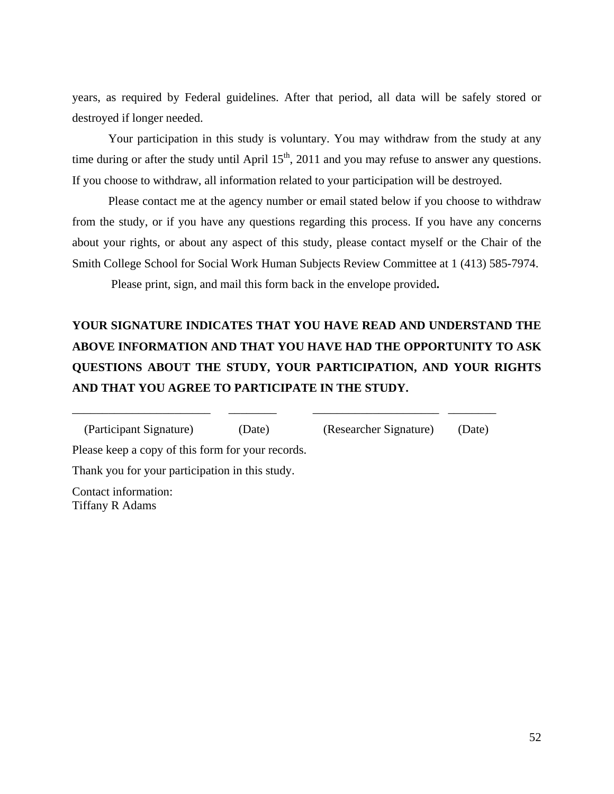years, as required by Federal guidelines. After that period, all data will be safely stored or destroyed if longer needed.

Your participation in this study is voluntary. You may withdraw from the study at any time during or after the study until April  $15<sup>th</sup>$ , 2011 and you may refuse to answer any questions. If you choose to withdraw, all information related to your participation will be destroyed.

Please contact me at the agency number or email stated below if you choose to withdraw from the study, or if you have any questions regarding this process. If you have any concerns about your rights, or about any aspect of this study, please contact myself or the Chair of the Smith College School for Social Work Human Subjects Review Committee at 1 (413) 585-7974.

Please print, sign, and mail this form back in the envelope provided**.**

## **YOUR SIGNATURE INDICATES THAT YOU HAVE READ AND UNDERSTAND THE ABOVE INFORMATION AND THAT YOU HAVE HAD THE OPPORTUNITY TO ASK QUESTIONS ABOUT THE STUDY, YOUR PARTICIPATION, AND YOUR RIGHTS AND THAT YOU AGREE TO PARTICIPATE IN THE STUDY.**

\_\_\_\_\_\_\_\_\_\_\_\_\_\_\_\_\_\_\_\_\_\_\_ \_\_\_\_\_\_\_\_ \_\_\_\_\_\_\_\_\_\_\_\_\_\_\_\_\_\_\_\_\_ \_\_\_\_\_\_\_\_

(Participant Signature) (Date) (Researcher Signature) (Date)

Please keep a copy of this form for your records.

Thank you for your participation in this study.

Contact information: Tiffany R Adams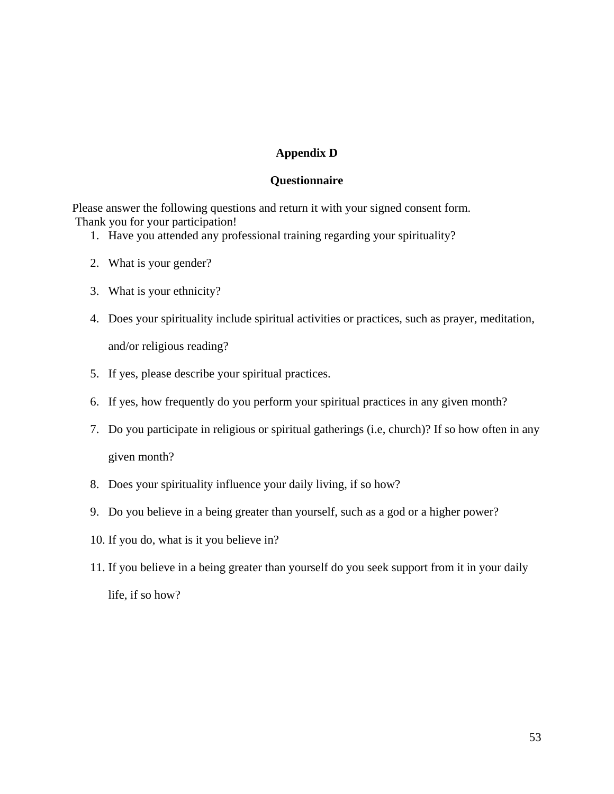## **Appendix D**

## **Questionnaire**

Please answer the following questions and return it with your signed consent form. Thank you for your participation!

- 1. Have you attended any professional training regarding your spirituality?
- 2. What is your gender?
- 3. What is your ethnicity?
- 4. Does your spirituality include spiritual activities or practices, such as prayer, meditation, and/or religious reading?
- 5. If yes, please describe your spiritual practices.
- 6. If yes, how frequently do you perform your spiritual practices in any given month?
- 7. Do you participate in religious or spiritual gatherings (i.e, church)? If so how often in any given month?
- 8. Does your spirituality influence your daily living, if so how?
- 9. Do you believe in a being greater than yourself, such as a god or a higher power?
- 10. If you do, what is it you believe in?
- 11. If you believe in a being greater than yourself do you seek support from it in your daily life, if so how?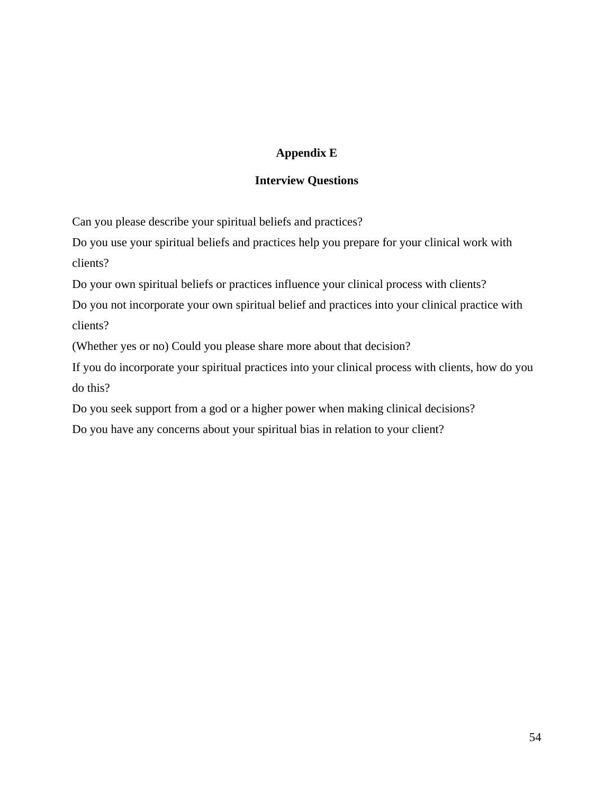## **Appendix E**

## **Interview Questions**

Can you please describe your spiritual beliefs and practices?

Do you use your spiritual beliefs and practices help you prepare for your clinical work with clients?

Do your own spiritual beliefs or practices influence your clinical process with clients?

Do you not incorporate your own spiritual belief and practices into your clinical practice with clients?

(Whether yes or no) Could you please share more about that decision?

If you do incorporate your spiritual practices into your clinical process with clients, how do you do this?

Do you seek support from a god or a higher power when making clinical decisions?

Do you have any concerns about your spiritual bias in relation to your client?